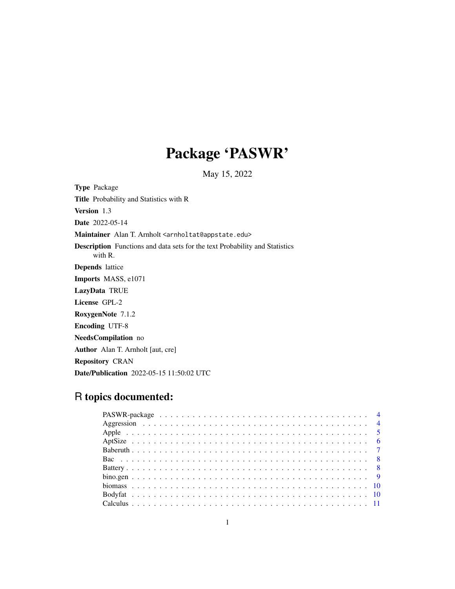# Package 'PASWR'

May 15, 2022

Type Package Title Probability and Statistics with R Version 1.3 Date 2022-05-14 Maintainer Alan T. Arnholt <arnholtat@appstate.edu> Description Functions and data sets for the text Probability and Statistics with R. Depends lattice Imports MASS, e1071 LazyData TRUE License GPL-2 RoxygenNote 7.1.2 Encoding UTF-8 NeedsCompilation no Author Alan T. Arnholt [aut, cre] Repository CRAN Date/Publication 2022-05-15 11:50:02 UTC

# R topics documented: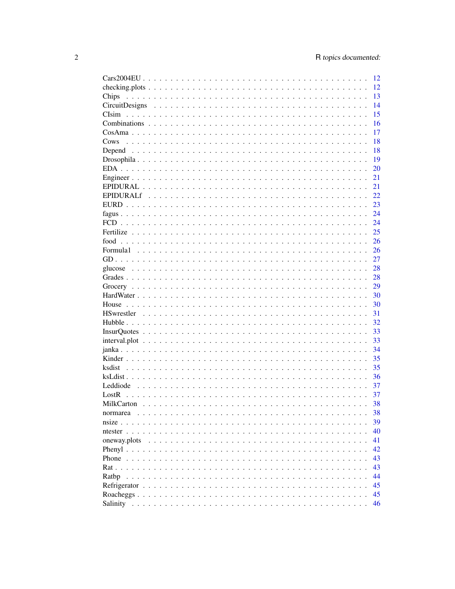|                                                                                                                       | <sup>12</sup> |
|-----------------------------------------------------------------------------------------------------------------------|---------------|
|                                                                                                                       | 12            |
| Chips                                                                                                                 | 13            |
|                                                                                                                       | 14            |
|                                                                                                                       | 15            |
|                                                                                                                       | 16            |
|                                                                                                                       | 17            |
| Cows                                                                                                                  | 18            |
|                                                                                                                       | 18            |
|                                                                                                                       | 19            |
|                                                                                                                       | 20            |
|                                                                                                                       | 21            |
|                                                                                                                       | 21            |
|                                                                                                                       |               |
|                                                                                                                       | 22            |
|                                                                                                                       | 23            |
|                                                                                                                       | 24            |
|                                                                                                                       | 24            |
|                                                                                                                       | 25            |
|                                                                                                                       | 26            |
|                                                                                                                       | 26            |
|                                                                                                                       | 27            |
|                                                                                                                       | 28            |
|                                                                                                                       | 28            |
|                                                                                                                       | 29            |
|                                                                                                                       | 30            |
|                                                                                                                       | 30            |
|                                                                                                                       | 31            |
|                                                                                                                       | 32            |
|                                                                                                                       | 33            |
| $interval.plot \dots \dots \dots \dots \dots \dots \dots \dots \dots \dots \dots \dots \dots \dots \dots \dots \dots$ | 33            |
|                                                                                                                       | 34            |
|                                                                                                                       | 35            |
|                                                                                                                       | 35            |
|                                                                                                                       | 36            |
|                                                                                                                       | 37            |
| LastR                                                                                                                 | 37            |
|                                                                                                                       | 38            |
|                                                                                                                       |               |
| normarea                                                                                                              | 38            |
| $nsize \dots$<br>$\mathbf{r}$<br>$\sim$                                                                               | 39            |
|                                                                                                                       | 40            |
| oneway.plots                                                                                                          | 41            |
|                                                                                                                       | 42            |
|                                                                                                                       | 43            |
|                                                                                                                       | 43            |
| Ratbp                                                                                                                 | 44            |
|                                                                                                                       | 45            |
|                                                                                                                       | 45            |
|                                                                                                                       | 46            |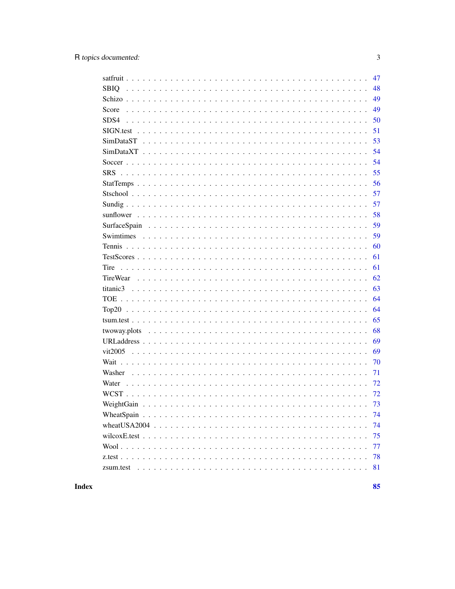|             | 47 |
|-------------|----|
| <b>SBIQ</b> | 48 |
|             | 49 |
| Score       | 49 |
| SDS4        | 50 |
|             | 51 |
|             | 53 |
|             | 54 |
|             | 54 |
|             | 55 |
|             | 56 |
|             | 57 |
|             | 57 |
|             | 58 |
|             | 59 |
|             | 59 |
|             | 60 |
|             | 61 |
| Tire        | 61 |
|             | 62 |
|             | 63 |
|             | 64 |
|             | 64 |
|             | 65 |
|             | 68 |
|             | 69 |
|             | 69 |
|             | 70 |
| Washer      | 71 |
| Water       | 72 |
|             | 72 |
|             |    |
|             | 74 |
|             | 74 |
|             | 75 |
|             | 77 |
|             | 78 |
|             | 81 |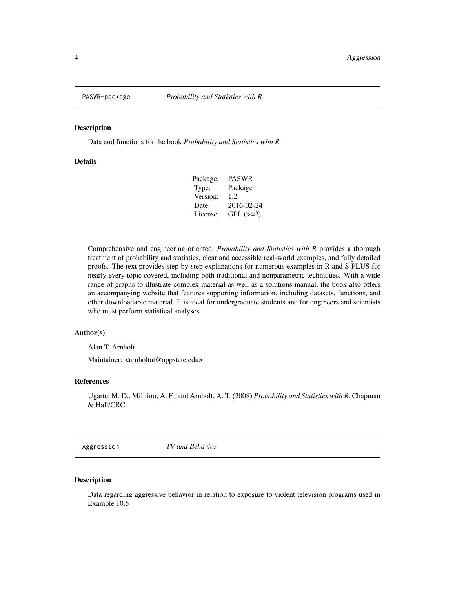<span id="page-3-0"></span>

Data and functions for the book *Probability and Statistics with R*

# **Details**

| Package: | <b>PASWR</b> |
|----------|--------------|
| Type:    | Package      |
| Version: | 1.2.         |
| Date:    | 2016-02-24   |
| License: | $GPL (=2)$   |
|          |              |

Comprehensive and engineering-oriented, *Probability and Statistics with R* provides a thorough treatment of probability and statistics, clear and accessible real-world examples, and fully detailed proofs. The text provides step-by-step explanations for numerous examples in R and S-PLUS for nearly every topic covered, including both traditional and nonparametric techniques. With a wide range of graphs to illustrate complex material as well as a solutions manual, the book also offers an accompanying website that features supporting information, including datasets, functions, and other downloadable material. It is ideal for undergraduate students and for engineers and scientists who must perform statistical analyses.

#### Author(s)

Alan T. Arnholt

Maintainer: <arnholtat@appstate.edu>

# References

Ugarte, M. D., Militino, A. F., and Arnholt, A. T. (2008) *Probability and Statistics with R*. Chapman & Hall/CRC.

Aggression *TV and Behavior*

#### Description

Data regarding aggressive behavior in relation to exposure to violent television programs used in Example 10.5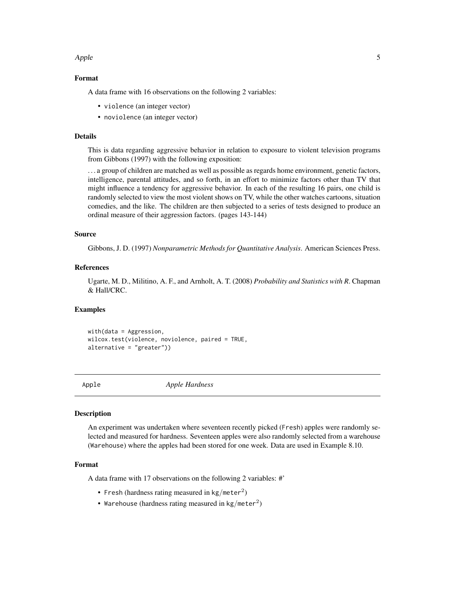#### <span id="page-4-0"></span>Apple 5

#### Format

A data frame with 16 observations on the following 2 variables:

- violence (an integer vector)
- noviolence (an integer vector)

#### Details

This is data regarding aggressive behavior in relation to exposure to violent television programs from Gibbons (1997) with the following exposition:

. . . a group of children are matched as well as possible as regards home environment, genetic factors, intelligence, parental attitudes, and so forth, in an effort to minimize factors other than TV that might influence a tendency for aggressive behavior. In each of the resulting 16 pairs, one child is randomly selected to view the most violent shows on TV, while the other watches cartoons, situation comedies, and the like. The children are then subjected to a series of tests designed to produce an ordinal measure of their aggression factors. (pages 143-144)

# Source

Gibbons, J. D. (1997) *Nonparametric Methods for Quantitative Analysis*. American Sciences Press.

#### References

Ugarte, M. D., Militino, A. F., and Arnholt, A. T. (2008) *Probability and Statistics with R*. Chapman & Hall/CRC.

#### Examples

with(data = Aggression, wilcox.test(violence, noviolence, paired = TRUE, alternative = "greater"))

Apple *Apple Hardness*

#### Description

An experiment was undertaken where seventeen recently picked (Fresh) apples were randomly selected and measured for hardness. Seventeen apples were also randomly selected from a warehouse (Warehouse) where the apples had been stored for one week. Data are used in Example 8.10.

#### Format

A data frame with 17 observations on the following 2 variables: #'

- Fresh (hardness rating measured in kg/meter<sup>2</sup>)
- Warehouse (hardness rating measured in kg/meter<sup>2</sup>)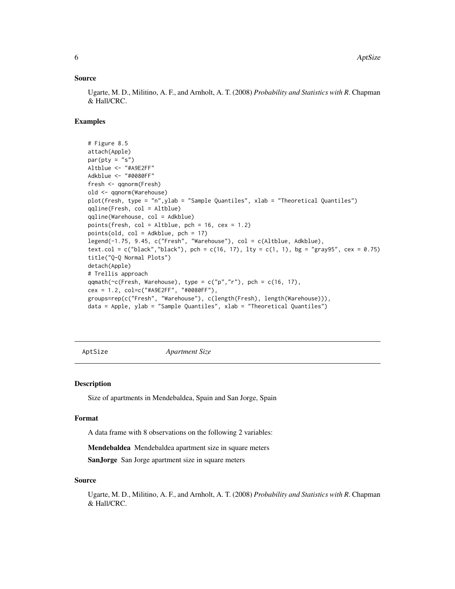#### <span id="page-5-0"></span>Source

Ugarte, M. D., Militino, A. F., and Arnholt, A. T. (2008) *Probability and Statistics with R*. Chapman & Hall/CRC.

# Examples

```
# Figure 8.5
attach(Apple)
par(pty = "s")Altblue <- "#A9E2FF"
Adkblue <- "#0080FF"
fresh <- qqnorm(Fresh)
old <- qqnorm(Warehouse)
plot(fresh, type = "n",ylab = "Sample Quantiles", xlab = "Theoretical Quantiles")
qqline(Fresh, col = Altblue)
qqline(Warehouse, col = Adkblue)
points(fresh, col = Altblue, pch = 16, cex = 1.2)
points(old, col = Adkblue, pch = 17)
legend(-1.75, 9.45, c("Fresh", "Warehouse"), col = c(Altblue, Adkblue),
text.col = c("black", "black"), pch = c(16, 17), lty = c(1, 1), bg = "gray95", cex = 0.75)
title("Q-Q Normal Plots")
detach(Apple)
# Trellis approach
qqmath(~c(Fresh, Warehouse), type = c("p", "r"), pch = c(16, 17),
cex = 1.2, col=c("#A9E2FF", "#0080FF"),
groups=rep(c("Fresh", "Warehouse"), c(length(Fresh), length(Warehouse))),
data = Apple, ylab = "Sample Quantiles", xlab = "Theoretical Quantiles")
```
AptSize *Apartment Size*

#### Description

Size of apartments in Mendebaldea, Spain and San Jorge, Spain

#### Format

A data frame with 8 observations on the following 2 variables:

Mendebaldea Mendebaldea apartment size in square meters

SanJorge San Jorge apartment size in square meters

#### Source

Ugarte, M. D., Militino, A. F., and Arnholt, A. T. (2008) *Probability and Statistics with R*. Chapman & Hall/CRC.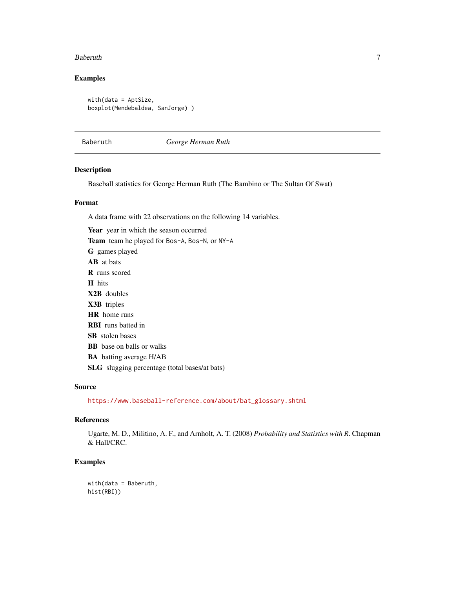#### <span id="page-6-0"></span>Baberuth 7 and 2008 and 2008 and 2008 and 2008 and 2008 and 2008 and 2008 and 2008 and 2008 and 2008 and 2008 and 2008 and 2008 and 2008 and 2008 and 2008 and 2008 and 2008 and 2008 and 2008 and 2008 and 2008 and 2008 and

# Examples

with(data = AptSize, boxplot(Mendebaldea, SanJorge) )

Baberuth *George Herman Ruth*

# Description

Baseball statistics for George Herman Ruth (The Bambino or The Sultan Of Swat)

# Format

A data frame with 22 observations on the following 14 variables.

Year year in which the season occurred Team team he played for Bos-A, Bos-N, or NY-A G games played AB at bats R runs scored H hits X2B doubles X3B triples HR home runs RBI runs batted in SB stolen bases BB base on balls or walks BA batting average H/AB SLG slugging percentage (total bases/at bats)

#### Source

[https://www.baseball-reference.com/about/bat\\_glossary.shtml](https://www.baseball-reference.com/about/bat_glossary.shtml)

#### References

Ugarte, M. D., Militino, A. F., and Arnholt, A. T. (2008) *Probability and Statistics with R*. Chapman & Hall/CRC.

# Examples

with(data = Baberuth, hist(RBI))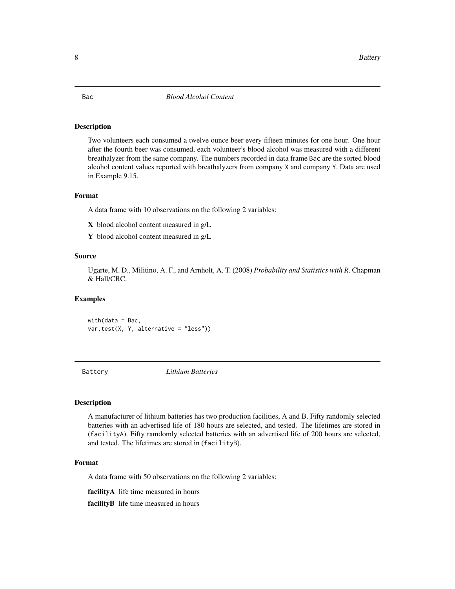<span id="page-7-0"></span>Two volunteers each consumed a twelve ounce beer every fifteen minutes for one hour. One hour after the fourth beer was consumed, each volunteer's blood alcohol was measured with a different breathalyzer from the same company. The numbers recorded in data frame Bac are the sorted blood alcohol content values reported with breathalyzers from company X and company Y. Data are used in Example 9.15.

# Format

A data frame with 10 observations on the following 2 variables:

- X blood alcohol content measured in g/L
- Y blood alcohol content measured in g/L

#### Source

Ugarte, M. D., Militino, A. F., and Arnholt, A. T. (2008) *Probability and Statistics with R*. Chapman & Hall/CRC.

# Examples

 $with(data = Bac,$ var.test(X, Y, alternative = "less"))

Battery *Lithium Batteries*

#### Description

A manufacturer of lithium batteries has two production facilities, A and B. Fifty randomly selected batteries with an advertised life of 180 hours are selected, and tested. The lifetimes are stored in (facilityA). Fifty ramdomly selected batteries with an advertised life of 200 hours are selected, and tested. The lifetimes are stored in (facilityB).

# Format

A data frame with 50 observations on the following 2 variables:

facilityA life time measured in hours

facility B life time measured in hours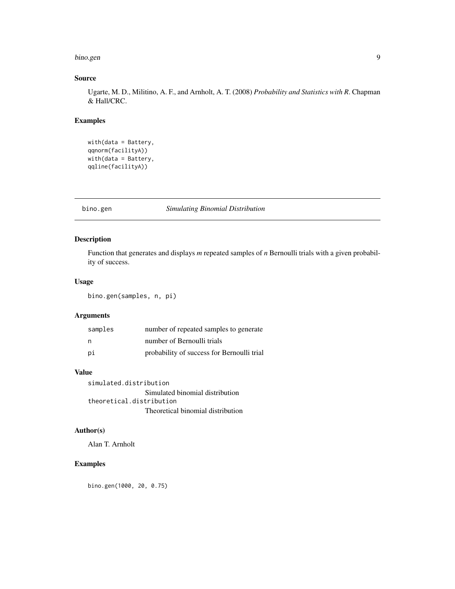#### <span id="page-8-0"></span>bino.gen 9

# Source

Ugarte, M. D., Militino, A. F., and Arnholt, A. T. (2008) *Probability and Statistics with R*. Chapman & Hall/CRC.

# Examples

```
with(data = Battery,
qqnorm(facilityA))
with(data = Battery,
qqline(facilityA))
```
bino.gen *Simulating Binomial Distribution*

# Description

Function that generates and displays *m* repeated samples of *n* Bernoulli trials with a given probability of success.

# Usage

bino.gen(samples, n, pi)

# Arguments

| samples | number of repeated samples to generate     |
|---------|--------------------------------------------|
| - n     | number of Bernoulli trials                 |
| рi      | probability of success for Bernoulli trial |

# Value

simulated.distribution Simulated binomial distribution theoretical.distribution Theoretical binomial distribution

# Author(s)

Alan T. Arnholt

# Examples

bino.gen(1000, 20, 0.75)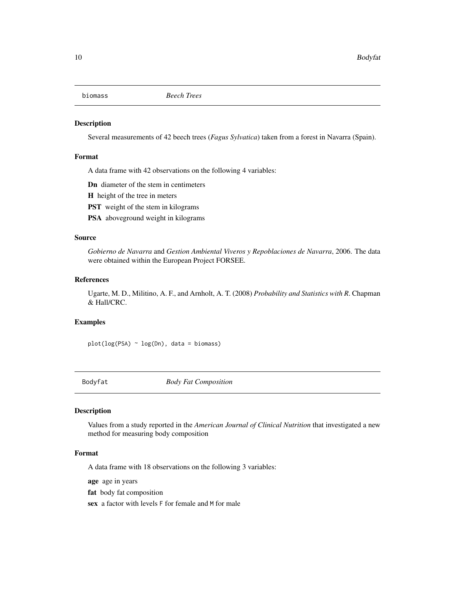<span id="page-9-0"></span>

Several measurements of 42 beech trees (*Fagus Sylvatica*) taken from a forest in Navarra (Spain).

#### Format

A data frame with 42 observations on the following 4 variables:

Dn diameter of the stem in centimeters

H height of the tree in meters

**PST** weight of the stem in kilograms

PSA aboveground weight in kilograms

## Source

*Gobierno de Navarra* and *Gestion Ambiental Viveros y Repoblaciones de Navarra*, 2006. The data were obtained within the European Project FORSEE.

# References

Ugarte, M. D., Militino, A. F., and Arnholt, A. T. (2008) *Probability and Statistics with R*. Chapman & Hall/CRC.

# Examples

plot(log(PSA) ~ log(Dn), data = biomass)

Bodyfat *Body Fat Composition*

# Description

Values from a study reported in the *American Journal of Clinical Nutrition* that investigated a new method for measuring body composition

# Format

A data frame with 18 observations on the following 3 variables:

age age in years

fat body fat composition

sex a factor with levels F for female and M for male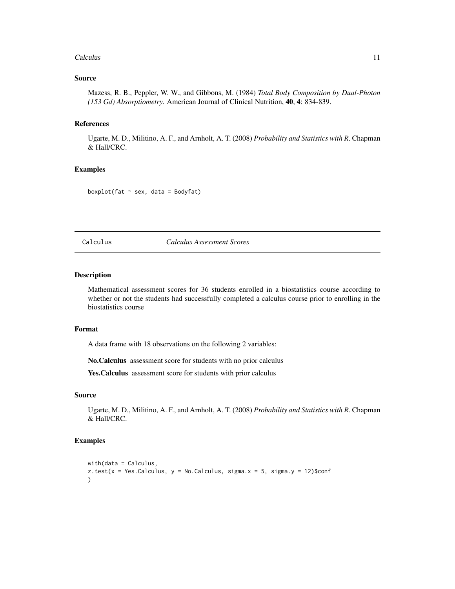#### <span id="page-10-0"></span>Calculus 2008 2012 2022 2023 2024 2022 2022 2023 2024 2022 2023 2024 2022 2023 2024 2022 2023 2024 2022 2023 20

#### Source

Mazess, R. B., Peppler, W. W., and Gibbons, M. (1984) *Total Body Composition by Dual-Photon (153 Gd) Absorptiometry*. American Journal of Clinical Nutrition, 40, 4: 834-839.

#### References

Ugarte, M. D., Militino, A. F., and Arnholt, A. T. (2008) *Probability and Statistics with R*. Chapman & Hall/CRC.

# Examples

boxplot(fat  $\sim$  sex, data = Bodyfat)

Calculus *Calculus Assessment Scores*

# Description

Mathematical assessment scores for 36 students enrolled in a biostatistics course according to whether or not the students had successfully completed a calculus course prior to enrolling in the biostatistics course

#### Format

A data frame with 18 observations on the following 2 variables:

No.Calculus assessment score for students with no prior calculus

Yes. Calculus assessment score for students with prior calculus

#### Source

Ugarte, M. D., Militino, A. F., and Arnholt, A. T. (2008) *Probability and Statistics with R*. Chapman & Hall/CRC.

# Examples

```
with(data = Calculus,
z.test(x = Yes.Calculus, y = No.Calculus, sigma.x = 5, sigma.y = 12)$conf
)
```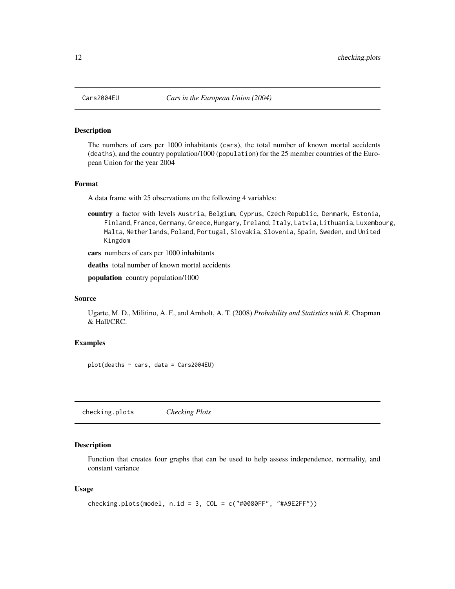<span id="page-11-0"></span>

The numbers of cars per 1000 inhabitants (cars), the total number of known mortal accidents (deaths), and the country population/1000 (population) for the 25 member countries of the European Union for the year 2004

# Format

A data frame with 25 observations on the following 4 variables:

country a factor with levels Austria, Belgium, Cyprus, Czech Republic, Denmark, Estonia, Finland, France, Germany, Greece, Hungary, Ireland, Italy, Latvia, Lithuania, Luxembourg, Malta, Netherlands, Poland, Portugal, Slovakia, Slovenia, Spain, Sweden, and United Kingdom

cars numbers of cars per 1000 inhabitants

deaths total number of known mortal accidents

population country population/1000

# Source

Ugarte, M. D., Militino, A. F., and Arnholt, A. T. (2008) *Probability and Statistics with R*. Chapman & Hall/CRC.

#### Examples

plot(deaths ~ cars, data = Cars2004EU)

checking.plots *Checking Plots*

#### Description

Function that creates four graphs that can be used to help assess independence, normality, and constant variance

#### Usage

```
checking.plots(model, n.id = 3, COL = c("#0080FF", "#A9E2FF"))
```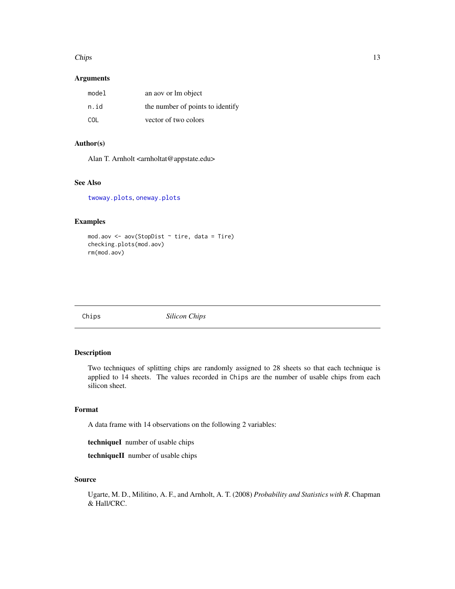#### <span id="page-12-0"></span> $Chips$  13

# Arguments

| model | an aoy or lm object              |
|-------|----------------------------------|
| n.id  | the number of points to identify |
| COL.  | vector of two colors             |

# Author(s)

Alan T. Arnholt <arnholtat@appstate.edu>

# See Also

[twoway.plots](#page-67-1), [oneway.plots](#page-40-1)

# Examples

```
mod.aov <- aov(StopDist ~ tire, data = Tire)
checking.plots(mod.aov)
rm(mod.aov)
```
Chips *Silicon Chips*

# Description

Two techniques of splitting chips are randomly assigned to 28 sheets so that each technique is applied to 14 sheets. The values recorded in Chips are the number of usable chips from each silicon sheet.

# Format

A data frame with 14 observations on the following 2 variables:

techniqueI number of usable chips

techniqueII number of usable chips

# Source

Ugarte, M. D., Militino, A. F., and Arnholt, A. T. (2008) *Probability and Statistics with R*. Chapman & Hall/CRC.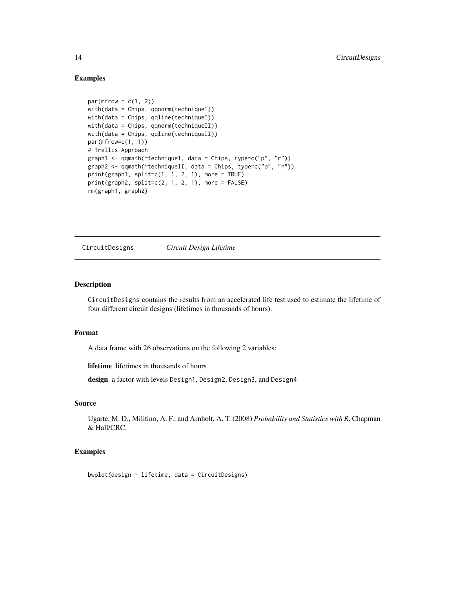#### Examples

```
par(mfrow = c(1, 2))with(data = Chips, qqnorm(techniqueI))
with(data = Chips, qqline(techniqueI))
with(data = Chips, qqnorm(techniqueII))
with(data = Chips, qqline(techniqueII))
par(mfrow=c(1, 1))
# Trellis Approach
graph1 <- qqmath(~techniqueI, data = Chips, type=c("p", "r"))
graph2 <- qqmath(~techniqueII, data = Chips, type=c("p", "r"))
print(graph1, split=c(1, 1, 2, 1), more = TRUE)print(graph2, split=c(2, 1, 2, 1), more = FALSE)rm(graph1, graph2)
```
CircuitDesigns *Circuit Design Lifetime*

#### Description

CircuitDesigns contains the results from an accelerated life test used to estimate the lifetime of four different circuit designs (lifetimes in thousands of hours).

#### Format

A data frame with 26 observations on the following 2 variables:

lifetime lifetimes in thousands of hours

design a factor with levels Design1, Design2, Design3, and Design4

#### Source

Ugarte, M. D., Militino, A. F., and Arnholt, A. T. (2008) *Probability and Statistics with R*. Chapman & Hall/CRC.

#### Examples

bwplot(design ~ lifetime, data = CircuitDesigns)

<span id="page-13-0"></span>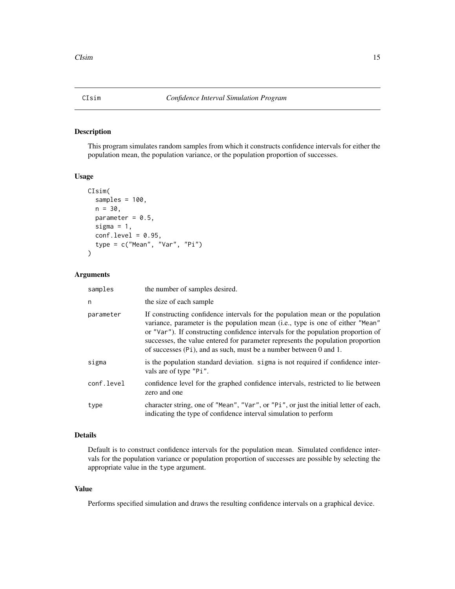<span id="page-14-0"></span>

This program simulates random samples from which it constructs confidence intervals for either the population mean, the population variance, or the population proportion of successes.

#### Usage

```
CIsim(
  samples = 100,
  n = 30,
 parameter = 0.5,
  sigma = 1,
  conf.level = 0.95,
  type = c("Mean", "Var", "Pi")
)
```
# Arguments

| samples    | the number of samples desired.                                                                                                                                                                                                                                                                                                                                                                               |
|------------|--------------------------------------------------------------------------------------------------------------------------------------------------------------------------------------------------------------------------------------------------------------------------------------------------------------------------------------------------------------------------------------------------------------|
| n          | the size of each sample                                                                                                                                                                                                                                                                                                                                                                                      |
| parameter  | If constructing confidence intervals for the population mean or the population<br>variance, parameter is the population mean (i.e., type is one of either "Mean"<br>or "Var"). If constructing confidence intervals for the population proportion of<br>successes, the value entered for parameter represents the population proportion<br>of successes (Pi), and as such, must be a number between 0 and 1. |
| sigma      | is the population standard deviation. sigma is not required if confidence inter-<br>vals are of type "Pi".                                                                                                                                                                                                                                                                                                   |
| conf.level | confidence level for the graphed confidence intervals, restricted to lie between<br>zero and one                                                                                                                                                                                                                                                                                                             |
| type       | character string, one of "Mean", "Var", or "Pi", or just the initial letter of each,<br>indicating the type of confidence interval simulation to perform                                                                                                                                                                                                                                                     |

#### Details

Default is to construct confidence intervals for the population mean. Simulated confidence intervals for the population variance or population proportion of successes are possible by selecting the appropriate value in the type argument.

#### Value

Performs specified simulation and draws the resulting confidence intervals on a graphical device.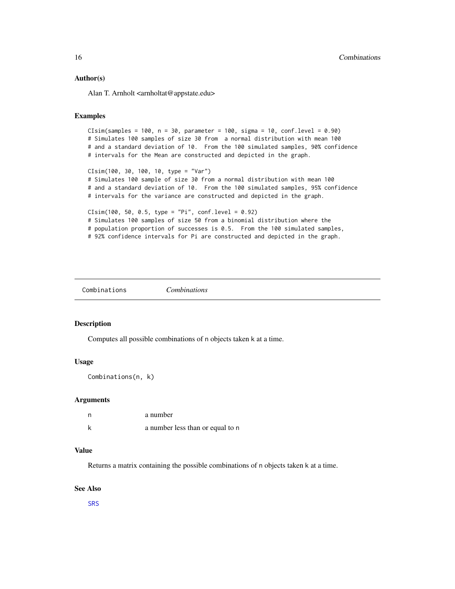#### <span id="page-15-0"></span>Author(s)

Alan T. Arnholt <arnholtat@appstate.edu>

#### Examples

```
CIsim(samples = 100, n = 30, parameter = 100, sigma = 10, conf. level = 0.90)# Simulates 100 samples of size 30 from a normal distribution with mean 100
# and a standard deviation of 10. From the 100 simulated samples, 90% confidence
# intervals for the Mean are constructed and depicted in the graph.
CIsim(100, 30, 100, 10, type = "Var")
# Simulates 100 sample of size 30 from a normal distribution with mean 100
# and a standard deviation of 10. From the 100 simulated samples, 95% confidence
# intervals for the variance are constructed and depicted in the graph.
CIsim(100, 50, 0.5, type = "Pi", conf.level = 0.92)
# Simulates 100 samples of size 50 from a binomial distribution where the
# population proportion of successes is 0.5. From the 100 simulated samples,
# 92% confidence intervals for Pi are constructed and depicted in the graph.
```
Combinations *Combinations*

#### Description

Computes all possible combinations of n objects taken k at a time.

#### Usage

Combinations(n, k)

#### Arguments

| - n | a number                         |
|-----|----------------------------------|
|     | a number less than or equal to n |

# Value

Returns a matrix containing the possible combinations of n objects taken k at a time.

#### See Also

[SRS](#page-54-1)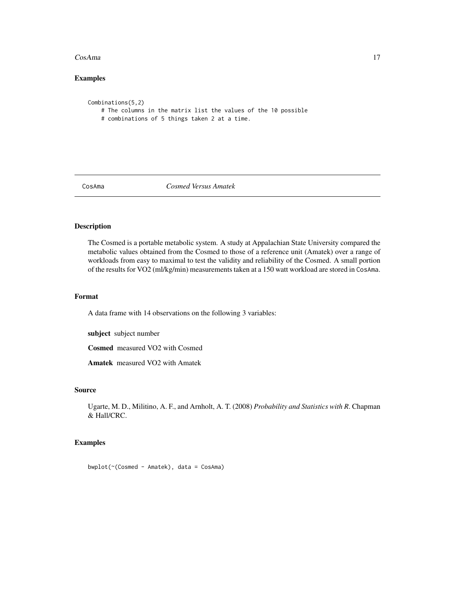#### <span id="page-16-0"></span>CosAma 17

# Examples

```
Combinations(5,2)
    # The columns in the matrix list the values of the 10 possible
    # combinations of 5 things taken 2 at a time.
```
CosAma *Cosmed Versus Amatek*

# Description

The Cosmed is a portable metabolic system. A study at Appalachian State University compared the metabolic values obtained from the Cosmed to those of a reference unit (Amatek) over a range of workloads from easy to maximal to test the validity and reliability of the Cosmed. A small portion of the results for VO2 (ml/kg/min) measurements taken at a 150 watt workload are stored in CosAma.

#### Format

A data frame with 14 observations on the following 3 variables:

subject subject number

Cosmed measured VO2 with Cosmed

Amatek measured VO2 with Amatek

#### Source

Ugarte, M. D., Militino, A. F., and Arnholt, A. T. (2008) *Probability and Statistics with R*. Chapman & Hall/CRC.

# Examples

bwplot(~(Cosmed - Amatek), data = CosAma)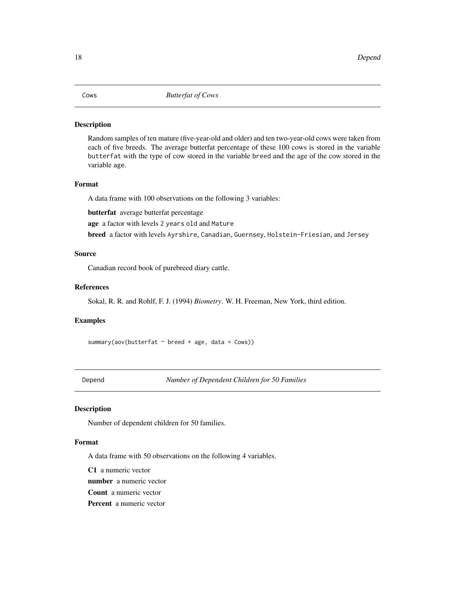<span id="page-17-0"></span>Random samples of ten mature (five-year-old and older) and ten two-year-old cows were taken from each of five breeds. The average butterfat percentage of these 100 cows is stored in the variable butterfat with the type of cow stored in the variable breed and the age of the cow stored in the variable age.

#### Format

A data frame with 100 observations on the following 3 variables:

butterfat average butterfat percentage

age a factor with levels 2 years old and Mature

breed a factor with levels Ayrshire, Canadian, Guernsey, Holstein-Friesian, and Jersey

# Source

Canadian record book of purebreed diary cattle.

# References

Sokal, R. R. and Rohlf, F. J. (1994) *Biometry*. W. H. Freeman, New York, third edition.

#### Examples

summary(aov(butterfat  $\sim$  breed + age, data = Cows))

Depend *Number of Dependent Children for 50 Families*

# Description

Number of dependent children for 50 families.

# Format

A data frame with 50 observations on the following 4 variables.

C1 a numeric vector

number a numeric vector

Count a numeric vector

Percent a numeric vector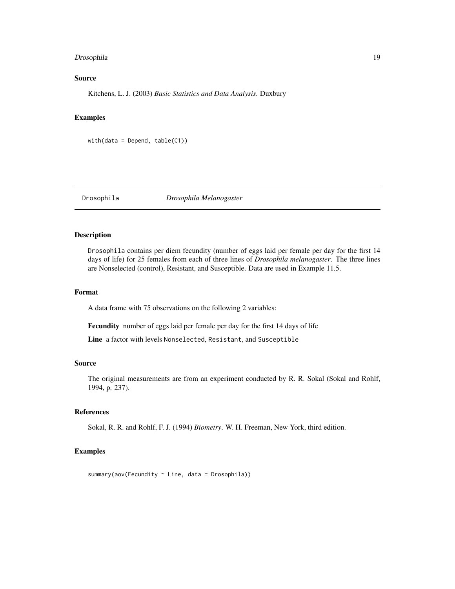# <span id="page-18-0"></span>Drosophila 19

# Source

Kitchens, L. J. (2003) *Basic Statistics and Data Analysis*. Duxbury

#### Examples

```
with(data = Depend, table(C1))
```
Drosophila *Drosophila Melanogaster*

# Description

Drosophila contains per diem fecundity (number of eggs laid per female per day for the first 14 days of life) for 25 females from each of three lines of *Drosophila melanogaster*. The three lines are Nonselected (control), Resistant, and Susceptible. Data are used in Example 11.5.

#### Format

A data frame with 75 observations on the following 2 variables:

Fecundity number of eggs laid per female per day for the first 14 days of life

Line a factor with levels Nonselected, Resistant, and Susceptible

# Source

The original measurements are from an experiment conducted by R. R. Sokal (Sokal and Rohlf, 1994, p. 237).

### References

Sokal, R. R. and Rohlf, F. J. (1994) *Biometry*. W. H. Freeman, New York, third edition.

#### Examples

summary(aov(Fecundity ~ Line, data = Drosophila))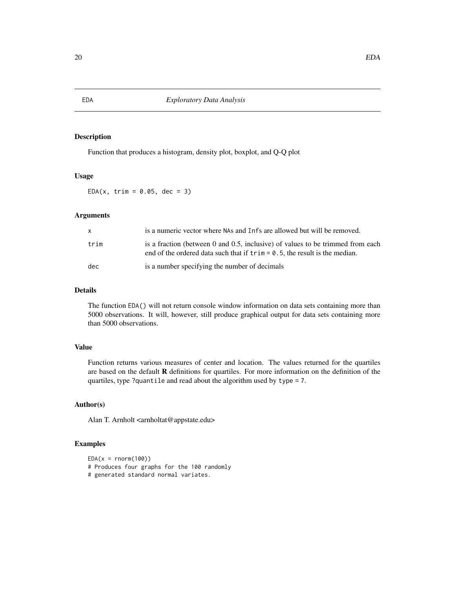Function that produces a histogram, density plot, boxplot, and Q-Q plot

# Usage

 $EDA(x, trim = 0.05, dec = 3)$ 

#### Arguments

| X    | is a numeric vector where NAs and Infs are allowed but will be removed.                                                                                                |
|------|------------------------------------------------------------------------------------------------------------------------------------------------------------------------|
| trim | is a fraction (between 0 and 0.5, inclusive) of values to be trimmed from each<br>end of the ordered data such that if $\text{trim} = 0.5$ , the result is the median. |
| dec  | is a number specifying the number of decimals                                                                                                                          |

# Details

The function EDA() will not return console window information on data sets containing more than 5000 observations. It will, however, still produce graphical output for data sets containing more than 5000 observations.

# Value

Function returns various measures of center and location. The values returned for the quartiles are based on the default R definitions for quartiles. For more information on the definition of the quartiles, type ?quantile and read about the algorithm used by type = 7.

# Author(s)

Alan T. Arnholt <arnholtat@appstate.edu>

# Examples

```
EDA(x = rnorm(100))# Produces four graphs for the 100 randomly
# generated standard normal variates.
```
<span id="page-19-0"></span>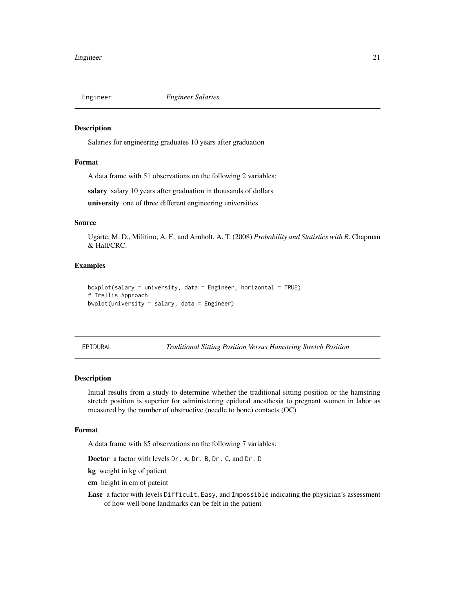<span id="page-20-0"></span>

Salaries for engineering graduates 10 years after graduation

#### Format

A data frame with 51 observations on the following 2 variables:

salary salary 10 years after graduation in thousands of dollars

university one of three different engineering universities

#### Source

Ugarte, M. D., Militino, A. F., and Arnholt, A. T. (2008) *Probability and Statistics with R*. Chapman & Hall/CRC.

# Examples

```
boxplot(salary ~ university, data = Engineering, horizontal = TRUE)# Trellis Approach
bwplot(university \sim salary, data = Engineer)
```
EPIDURAL *Traditional Sitting Position Versus Hamstring Stretch Position*

#### Description

Initial results from a study to determine whether the traditional sitting position or the hamstring stretch position is superior for administering epidural anesthesia to pregnant women in labor as measured by the number of obstructive (needle to bone) contacts (OC)

#### Format

A data frame with 85 observations on the following 7 variables:

Doctor a factor with levels Dr. A, Dr. B, Dr. C, and Dr. D

kg weight in kg of patient

cm height in cm of pateint

Ease a factor with levels Difficult, Easy, and Impossible indicating the physician's assessment of how well bone landmarks can be felt in the patient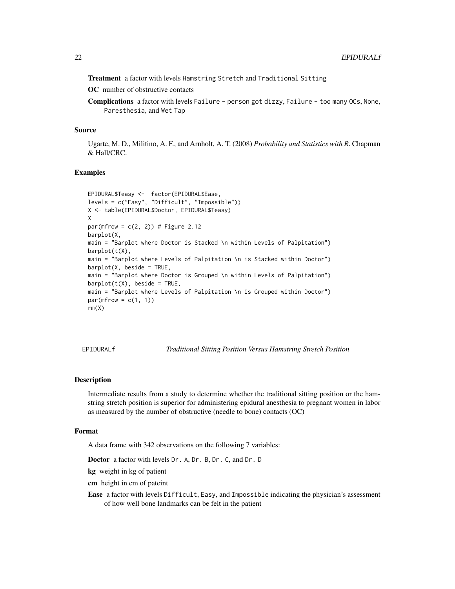<span id="page-21-0"></span>Treatment a factor with levels Hamstring Stretch and Traditional Sitting

OC number of obstructive contacts

Complications a factor with levels Failure - person got dizzy, Failure - too many OCs, None, Paresthesia, and Wet Tap

#### Source

Ugarte, M. D., Militino, A. F., and Arnholt, A. T. (2008) *Probability and Statistics with R*. Chapman & Hall/CRC.

### Examples

```
EPIDURAL$Teasy <- factor(EPIDURAL$Ease,
levels = c("Easy", "Difficult", "Impossible"))
X <- table(EPIDURAL$Doctor, EPIDURAL$Teasy)
X
par(mfrow = c(2, 2)) # Figure 2.12
barplot(X,
main = "Barplot where Doctor is Stacked \n within Levels of Palpitation")
barplot(t(X),
main = "Barplot where Levels of Palpitation \n is Stacked within Doctor")
barplot(X, beside = TRUE,main = "Barplot where Doctor is Grouped \n within Levels of Palpitation")
barplot(t(X), beside = TRUE,main = "Barplot where Levels of Palpitation \n is Grouped within Doctor")
par(mfrow = c(1, 1))rm(X)
```
EPIDURALf *Traditional Sitting Position Versus Hamstring Stretch Position*

#### Description

Intermediate results from a study to determine whether the traditional sitting position or the hamstring stretch position is superior for administering epidural anesthesia to pregnant women in labor as measured by the number of obstructive (needle to bone) contacts (OC)

# Format

A data frame with 342 observations on the following 7 variables:

Doctor a factor with levels Dr. A, Dr. B, Dr. C, and Dr. D

kg weight in kg of patient

cm height in cm of pateint

Ease a factor with levels Difficult, Easy, and Impossible indicating the physician's assessment of how well bone landmarks can be felt in the patient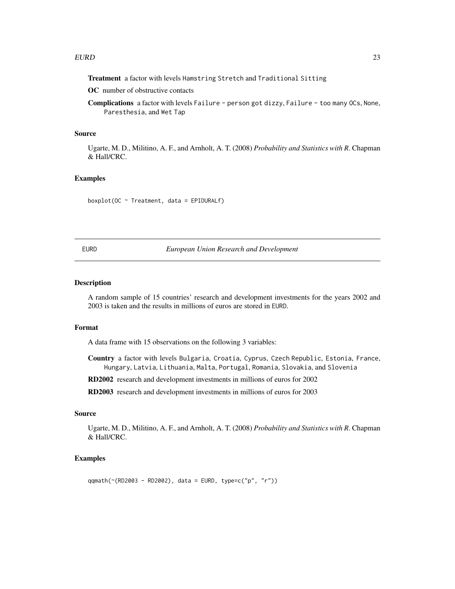<span id="page-22-0"></span>Treatment a factor with levels Hamstring Stretch and Traditional Sitting

OC number of obstructive contacts

Complications a factor with levels Failure - person got dizzy, Failure - too many OCs, None, Paresthesia, and Wet Tap

#### Source

Ugarte, M. D., Militino, A. F., and Arnholt, A. T. (2008) *Probability and Statistics with R*. Chapman & Hall/CRC.

# Examples

boxplot(OC  $\sim$  Treatment, data = EPIDURALf)

EURD *European Union Research and Development*

#### Description

A random sample of 15 countries' research and development investments for the years 2002 and 2003 is taken and the results in millions of euros are stored in EURD.

#### Format

A data frame with 15 observations on the following 3 variables:

Country a factor with levels Bulgaria, Croatia, Cyprus, Czech Republic, Estonia, France, Hungary, Latvia, Lithuania, Malta, Portugal, Romania, Slovakia, and Slovenia

RD2002 research and development investments in millions of euros for 2002

RD2003 research and development investments in millions of euros for 2003

# Source

Ugarte, M. D., Militino, A. F., and Arnholt, A. T. (2008) *Probability and Statistics with R*. Chapman & Hall/CRC.

# Examples

qqmath(~(RD2003 - RD2002), data = EURD, type=c("p", "r"))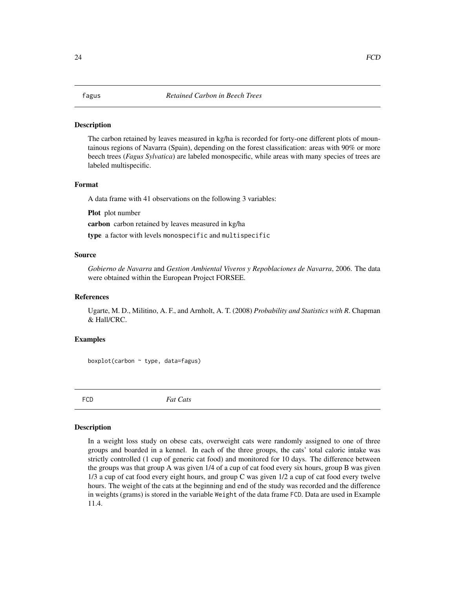<span id="page-23-0"></span>The carbon retained by leaves measured in kg/ha is recorded for forty-one different plots of mountainous regions of Navarra (Spain), depending on the forest classification: areas with 90% or more beech trees (*Fagus Sylvatica*) are labeled monospecific, while areas with many species of trees are labeled multispecific.

#### Format

A data frame with 41 observations on the following 3 variables:

Plot plot number

carbon carbon retained by leaves measured in kg/ha

type a factor with levels monospecific and multispecific

#### Source

*Gobierno de Navarra* and *Gestion Ambiental Viveros y Repoblaciones de Navarra*, 2006. The data were obtained within the European Project FORSEE.

#### References

Ugarte, M. D., Militino, A. F., and Arnholt, A. T. (2008) *Probability and Statistics with R*. Chapman & Hall/CRC.

# Examples

boxplot(carbon ~ type, data=fagus)

FCD *Fat Cats*

# Description

In a weight loss study on obese cats, overweight cats were randomly assigned to one of three groups and boarded in a kennel. In each of the three groups, the cats' total caloric intake was strictly controlled (1 cup of generic cat food) and monitored for 10 days. The difference between the groups was that group A was given 1/4 of a cup of cat food every six hours, group B was given 1/3 a cup of cat food every eight hours, and group C was given 1/2 a cup of cat food every twelve hours. The weight of the cats at the beginning and end of the study was recorded and the difference in weights (grams) is stored in the variable Weight of the data frame FCD. Data are used in Example 11.4.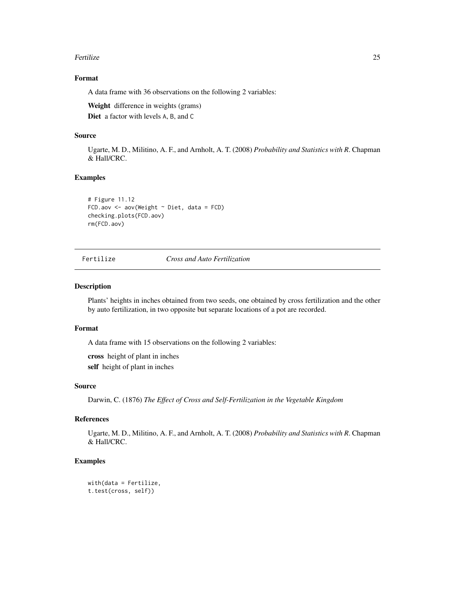#### <span id="page-24-0"></span>**Fertilize** 25

# Format

A data frame with 36 observations on the following 2 variables:

Weight difference in weights (grams)

Diet a factor with levels A, B, and C

# Source

Ugarte, M. D., Militino, A. F., and Arnholt, A. T. (2008) *Probability and Statistics with R*. Chapman & Hall/CRC.

#### Examples

```
# Figure 11.12
FCD.aov <- aov(Weight ~ Diet, data = FCD)
checking.plots(FCD.aov)
rm(FCD.aov)
```
Fertilize *Cross and Auto Fertilization*

# Description

Plants' heights in inches obtained from two seeds, one obtained by cross fertilization and the other by auto fertilization, in two opposite but separate locations of a pot are recorded.

# Format

A data frame with 15 observations on the following 2 variables:

cross height of plant in inches self height of plant in inches

#### Source

Darwin, C. (1876) *The Effect of Cross and Self-Fertilization in the Vegetable Kingdom*

#### References

Ugarte, M. D., Militino, A. F., and Arnholt, A. T. (2008) *Probability and Statistics with R*. Chapman & Hall/CRC.

#### Examples

```
with(data = Fertilize,
t.test(cross, self))
```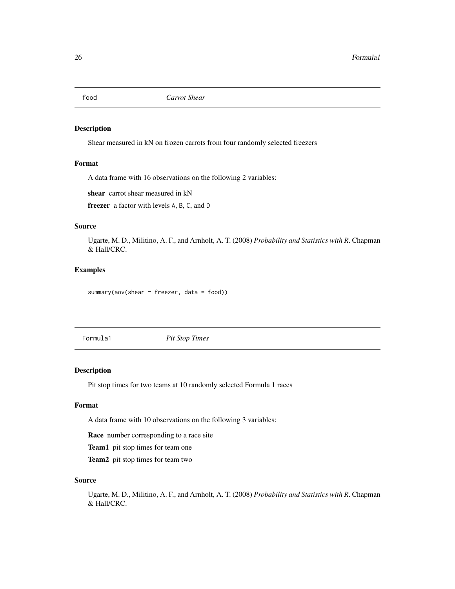<span id="page-25-0"></span>

Shear measured in kN on frozen carrots from four randomly selected freezers

# Format

A data frame with 16 observations on the following 2 variables:

shear carrot shear measured in kN

freezer a factor with levels A, B, C, and D

# Source

Ugarte, M. D., Militino, A. F., and Arnholt, A. T. (2008) *Probability and Statistics with R*. Chapman & Hall/CRC.

# Examples

```
summary(aov(shear \sim freezer, data = food))
```
Formula1 *Pit Stop Times*

#### Description

Pit stop times for two teams at 10 randomly selected Formula 1 races

# Format

A data frame with 10 observations on the following 3 variables:

Race number corresponding to a race site

Team1 pit stop times for team one

Team<sub>2</sub> pit stop times for team two

#### Source

Ugarte, M. D., Militino, A. F., and Arnholt, A. T. (2008) *Probability and Statistics with R*. Chapman & Hall/CRC.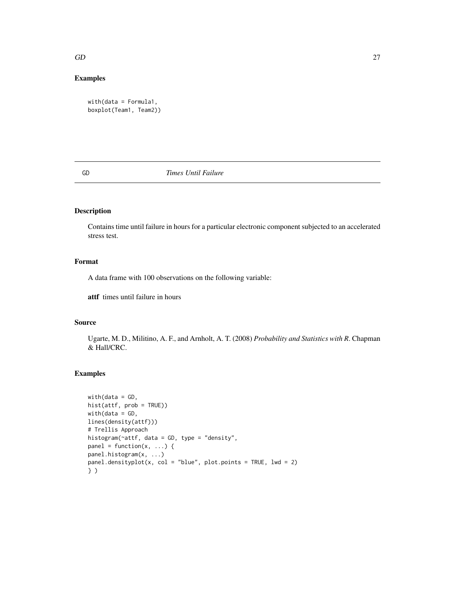#### <span id="page-26-0"></span> $GD$  27

# Examples

```
with(data = Formula1,
boxplot(Team1, Team2))
```
### GD *Times Until Failure*

# Description

Contains time until failure in hours for a particular electronic component subjected to an accelerated stress test.

# Format

A data frame with 100 observations on the following variable:

attf times until failure in hours

# Source

Ugarte, M. D., Militino, A. F., and Arnholt, A. T. (2008) *Probability and Statistics with R*. Chapman & Hall/CRC.

# Examples

```
with(data = GD,hist(attf, prob = TRUE))
with(data = GD,
lines(density(attf)))
# Trellis Approach
histogram(~attf, data = GD, type = "density",
panel = function(x, \ldots) {
panel.histogram(x, ...)
panel.densityplot(x, col = "blue", plot.points = TRUE, lwd = 2)
} )
```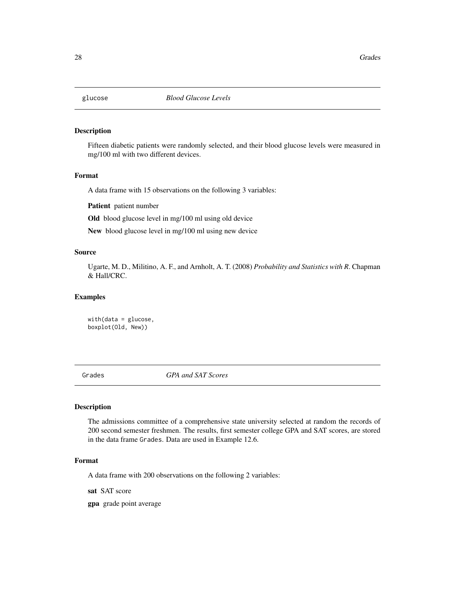<span id="page-27-0"></span>

Fifteen diabetic patients were randomly selected, and their blood glucose levels were measured in mg/100 ml with two different devices.

# Format

A data frame with 15 observations on the following 3 variables:

Patient patient number

Old blood glucose level in mg/100 ml using old device

New blood glucose level in mg/100 ml using new device

#### Source

Ugarte, M. D., Militino, A. F., and Arnholt, A. T. (2008) *Probability and Statistics with R*. Chapman & Hall/CRC.

#### Examples

with(data = glucose, boxplot(Old, New))

Grades *GPA and SAT Scores*

#### Description

The admissions committee of a comprehensive state university selected at random the records of 200 second semester freshmen. The results, first semester college GPA and SAT scores, are stored in the data frame Grades. Data are used in Example 12.6.

# Format

A data frame with 200 observations on the following 2 variables:

sat SAT score

gpa grade point average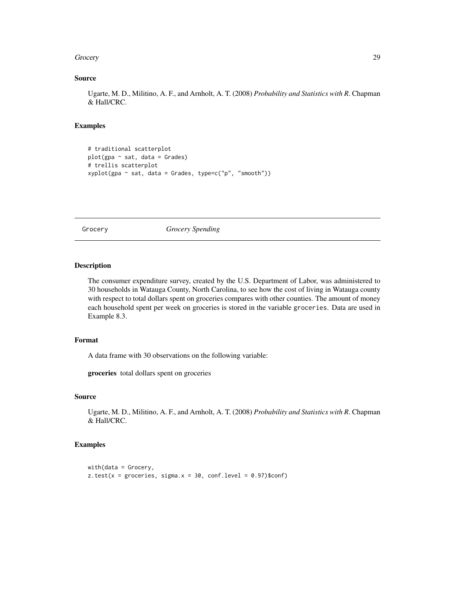#### <span id="page-28-0"></span>Grocery 29

#### Source

Ugarte, M. D., Militino, A. F., and Arnholt, A. T. (2008) *Probability and Statistics with R*. Chapman & Hall/CRC.

#### Examples

```
# traditional scatterplot
plot(gpa ~ sat, data = Grades)
# trellis scatterplot
xyplot(gpa ~ sat, data = Grades, type=c("p", "smooth"))
```
Grocery *Grocery Spending*

# Description

The consumer expenditure survey, created by the U.S. Department of Labor, was administered to 30 households in Watauga County, North Carolina, to see how the cost of living in Watauga county with respect to total dollars spent on groceries compares with other counties. The amount of money each household spent per week on groceries is stored in the variable groceries. Data are used in Example 8.3.

# Format

A data frame with 30 observations on the following variable:

groceries total dollars spent on groceries

# Source

Ugarte, M. D., Militino, A. F., and Arnholt, A. T. (2008) *Probability and Statistics with R*. Chapman & Hall/CRC.

# Examples

```
with(data = Grocery,z.test(x = groceries, sigma.x = 30, conf.level = 0.97)$conf)
```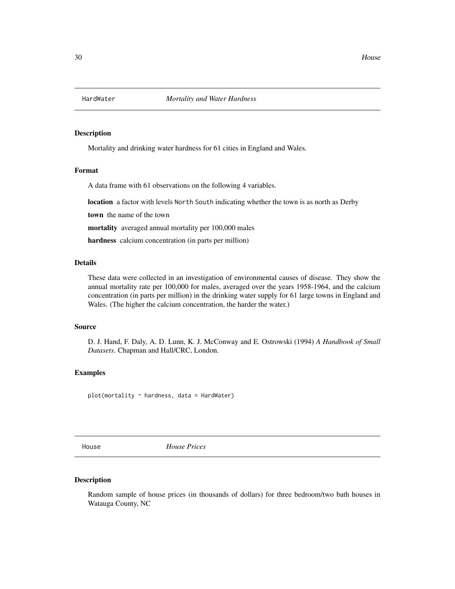<span id="page-29-0"></span>

Mortality and drinking water hardness for 61 cities in England and Wales.

#### Format

A data frame with 61 observations on the following 4 variables.

location a factor with levels North South indicating whether the town is as north as Derby

town the name of the town

mortality averaged annual mortality per 100,000 males

hardness calcium concentration (in parts per million)

#### Details

These data were collected in an investigation of environmental causes of disease. They show the annual mortality rate per 100,000 for males, averaged over the years 1958-1964, and the calcium concentration (in parts per million) in the drinking water supply for 61 large towns in England and Wales. (The higher the calcium concentration, the harder the water.)

# Source

D. J. Hand, F. Daly, A. D. Lunn, K. J. McConway and E. Ostrowski (1994) *A Handbook of Small Datasets*. Chapman and Hall/CRC, London.

#### Examples

plot(mortality ~ hardness, data = HardWater)

House *House Prices*

#### Description

Random sample of house prices (in thousands of dollars) for three bedroom/two bath houses in Watauga County, NC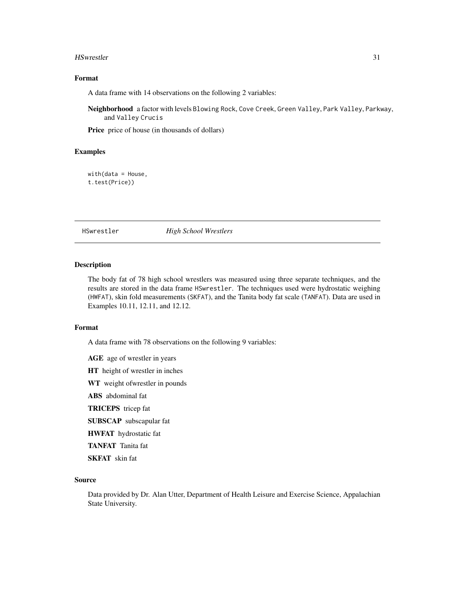#### <span id="page-30-0"></span>HSwrestler 31

# Format

A data frame with 14 observations on the following 2 variables:

Neighborhood a factor with levels Blowing Rock, Cove Creek, Green Valley, Park Valley, Parkway, and Valley Crucis

Price price of house (in thousands of dollars)

# Examples

with(data = House, t.test(Price))

HSwrestler *High School Wrestlers*

#### Description

The body fat of 78 high school wrestlers was measured using three separate techniques, and the results are stored in the data frame HSwrestler. The techniques used were hydrostatic weighing (HWFAT), skin fold measurements (SKFAT), and the Tanita body fat scale (TANFAT). Data are used in Examples 10.11, 12.11, and 12.12.

#### Format

A data frame with 78 observations on the following 9 variables:

AGE age of wrestler in years HT height of wrestler in inches WT weight ofwrestler in pounds ABS abdominal fat TRICEPS tricep fat SUBSCAP subscapular fat HWFAT hydrostatic fat TANFAT Tanita fat SKFAT skin fat

# Source

Data provided by Dr. Alan Utter, Department of Health Leisure and Exercise Science, Appalachian State University.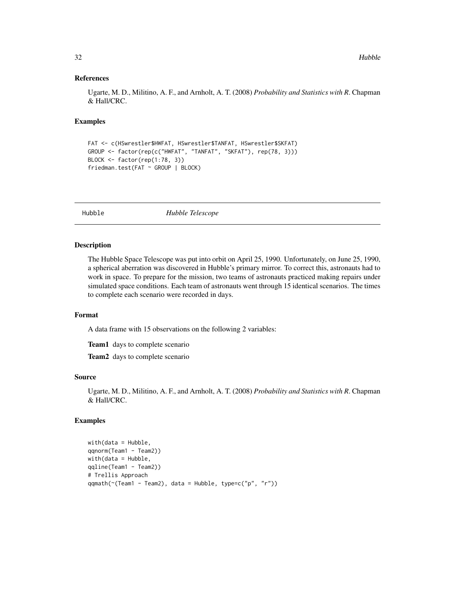#### References

Ugarte, M. D., Militino, A. F., and Arnholt, A. T. (2008) *Probability and Statistics with R*. Chapman & Hall/CRC.

#### Examples

```
FAT <- c(HSwrestler$HWFAT, HSwrestler$TANFAT, HSwrestler$SKFAT)
GROUP <- factor(rep(c("HWFAT", "TANFAT", "SKFAT"), rep(78, 3)))
BLOCK <- factor(rep(1:78, 3))
friedman.test(FAT ~ GROUP | BLOCK)
```
Hubble *Hubble Telescope*

#### Description

The Hubble Space Telescope was put into orbit on April 25, 1990. Unfortunately, on June 25, 1990, a spherical aberration was discovered in Hubble's primary mirror. To correct this, astronauts had to work in space. To prepare for the mission, two teams of astronauts practiced making repairs under simulated space conditions. Each team of astronauts went through 15 identical scenarios. The times to complete each scenario were recorded in days.

# Format

A data frame with 15 observations on the following 2 variables:

Team1 days to complete scenario

Team<sub>2</sub> days to complete scenario

# Source

Ugarte, M. D., Militino, A. F., and Arnholt, A. T. (2008) *Probability and Statistics with R*. Chapman & Hall/CRC.

# Examples

```
with(data = Hubble,
qqnorm(Team1 - Team2))
with(data = Hubble,qqline(Team1 - Team2))
# Trellis Approach
qqmath(~(Team1 - Team2), data = Hubble, type=c("p", "r"))
```
<span id="page-31-0"></span>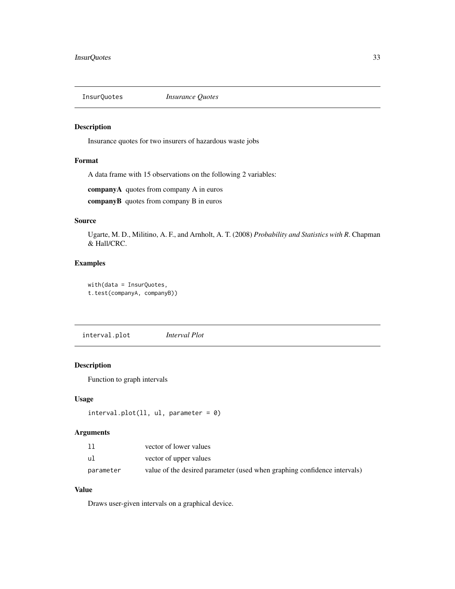<span id="page-32-0"></span>

Insurance quotes for two insurers of hazardous waste jobs

# Format

A data frame with 15 observations on the following 2 variables:

companyA quotes from company A in euros

companyB quotes from company B in euros

# Source

Ugarte, M. D., Militino, A. F., and Arnholt, A. T. (2008) *Probability and Statistics with R*. Chapman & Hall/CRC.

# Examples

with(data = InsurQuotes, t.test(companyA, companyB))

interval.plot *Interval Plot*

# Description

Function to graph intervals

# Usage

```
interval.plot(11, ul, parameter = 0)
```
# Arguments

| 11        | vector of lower values                                                   |
|-----------|--------------------------------------------------------------------------|
| ul        | vector of upper values                                                   |
| parameter | value of the desired parameter (used when graphing confidence intervals) |

# Value

Draws user-given intervals on a graphical device.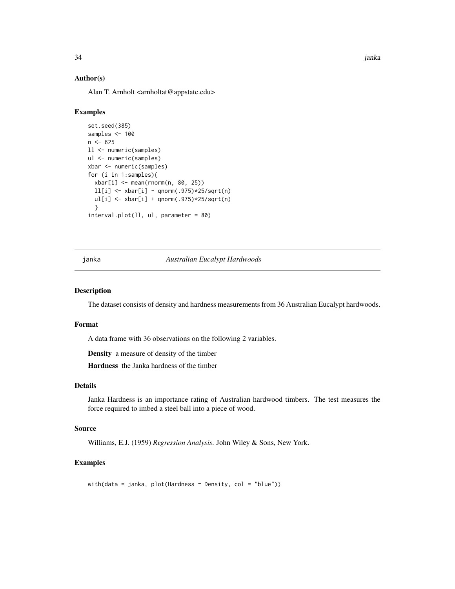34 janka

# Author(s)

Alan T. Arnholt <arnholtat@appstate.edu>

#### Examples

```
set.seed(385)
samples <- 100
n < -625ll <- numeric(samples)
ul <- numeric(samples)
xbar <- numeric(samples)
for (i in 1:samples){
  xbar[i] <- mean(rnorm(n, 80, 25))
  ll[i] <- xbar[i] - qnorm(.975)*25/sqrt(n)
  ul[i] <- xbar[i] + qnorm(.975)*25/sqrt(n)
  }
interval.plot(ll, ul, parameter = 80)
```
janka *Australian Eucalypt Hardwoods*

#### Description

The dataset consists of density and hardness measurements from 36 Australian Eucalypt hardwoods.

#### Format

A data frame with 36 observations on the following 2 variables.

Density a measure of density of the timber

Hardness the Janka hardness of the timber

# Details

Janka Hardness is an importance rating of Australian hardwood timbers. The test measures the force required to imbed a steel ball into a piece of wood.

# Source

Williams, E.J. (1959) *Regression Analysis*. John Wiley & Sons, New York.

#### Examples

with(data = janka, plot(Hardness  $\sim$  Density, col = "blue"))

<span id="page-33-0"></span>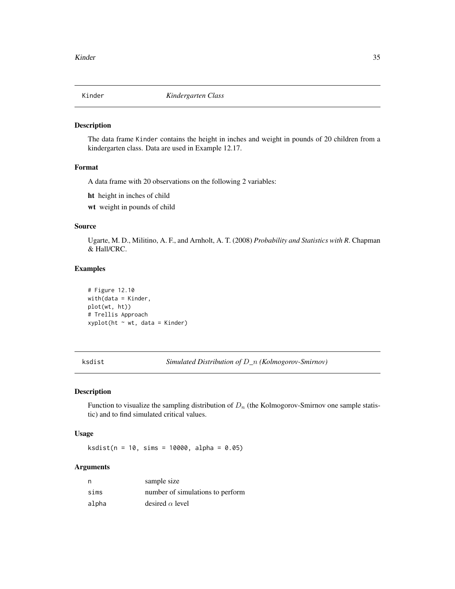<span id="page-34-0"></span>

The data frame Kinder contains the height in inches and weight in pounds of 20 children from a kindergarten class. Data are used in Example 12.17.

# Format

A data frame with 20 observations on the following 2 variables:

ht height in inches of child

wt weight in pounds of child

# Source

Ugarte, M. D., Militino, A. F., and Arnholt, A. T. (2008) *Probability and Statistics with R*. Chapman & Hall/CRC.

#### Examples

```
# Figure 12.10
with(data = Kinder,
plot(wt, ht))
# Trellis Approach
xyplot(ht ~ wt, data = Kinder)
```
<span id="page-34-1"></span>ksdist *Simulated Distribution of* D*\_*n *(Kolmogorov-Smirnov)*

#### Description

Function to visualize the sampling distribution of  $D_n$  (the Kolmogorov-Smirnov one sample statistic) and to find simulated critical values.

#### Usage

 $ksdist(n = 10, \text{ sims} = 10000, \text{ alpha} = 0.05)$ 

#### Arguments

| n     | sample size                      |
|-------|----------------------------------|
| sims  | number of simulations to perform |
| alpha | desired $\alpha$ level           |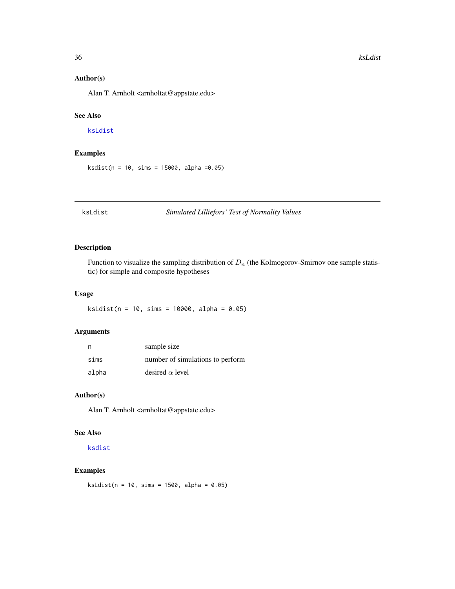# <span id="page-35-0"></span>Author(s)

Alan T. Arnholt <arnholtat@appstate.edu>

# See Also

# [ksLdist](#page-35-1)

# Examples

ksdist(n = 10, sims = 15000, alpha =0.05)

<span id="page-35-1"></span>ksLdist *Simulated Lilliefors' Test of Normality Values*

# Description

Function to visualize the sampling distribution of  $D_n$  (the Kolmogorov-Smirnov one sample statistic) for simple and composite hypotheses

# Usage

 $ksLdist(n = 10, \text{ sims} = 10000, \text{ alpha} = 0.05)$ 

# Arguments

| n     | sample size                      |
|-------|----------------------------------|
| sims  | number of simulations to perform |
| alpha | desired $\alpha$ level           |

# Author(s)

Alan T. Arnholt <arnholtat@appstate.edu>

# See Also

[ksdist](#page-34-1)

# Examples

 $ksLdist(n = 10, \text{ sims} = 1500, \text{ alpha} = 0.05)$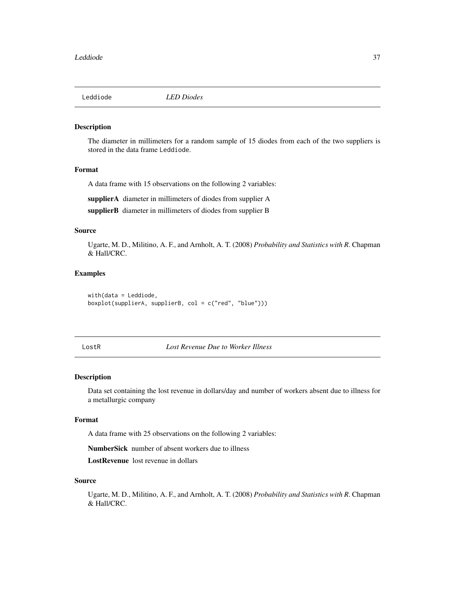Leddiode *LED Diodes*

## Description

The diameter in millimeters for a random sample of 15 diodes from each of the two suppliers is stored in the data frame Leddiode.

# Format

A data frame with 15 observations on the following 2 variables:

supplierA diameter in millimeters of diodes from supplier A

supplierB diameter in millimeters of diodes from supplier B

## Source

Ugarte, M. D., Militino, A. F., and Arnholt, A. T. (2008) *Probability and Statistics with R*. Chapman & Hall/CRC.

# Examples

with(data = Leddiode, boxplot(supplierA, supplierB, col = c("red", "blue")))

LostR *Lost Revenue Due to Worker Illness*

### Description

Data set containing the lost revenue in dollars/day and number of workers absent due to illness for a metallurgic company

### Format

A data frame with 25 observations on the following 2 variables:

NumberSick number of absent workers due to illness

LostRevenue lost revenue in dollars

### Source

Ugarte, M. D., Militino, A. F., and Arnholt, A. T. (2008) *Probability and Statistics with R*. Chapman & Hall/CRC.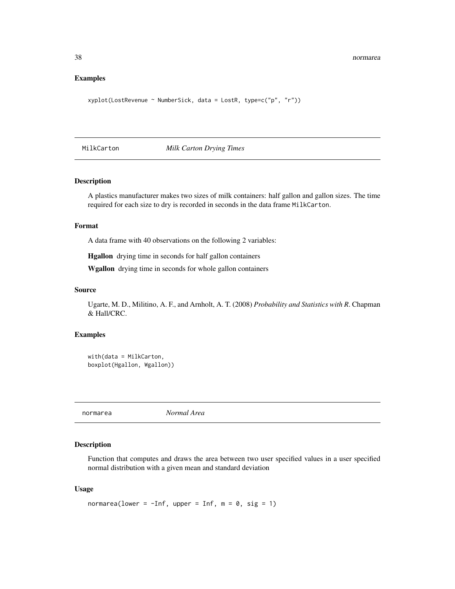## Examples

```
xyplot(LostRevenue ~ NumberSick, data = LostR, type=c("p", "r"))
```
MilkCarton *Milk Carton Drying Times*

## Description

A plastics manufacturer makes two sizes of milk containers: half gallon and gallon sizes. The time required for each size to dry is recorded in seconds in the data frame MilkCarton.

## Format

A data frame with 40 observations on the following 2 variables:

Hgallon drying time in seconds for half gallon containers

Wgallon drying time in seconds for whole gallon containers

### Source

Ugarte, M. D., Militino, A. F., and Arnholt, A. T. (2008) *Probability and Statistics with R*. Chapman & Hall/CRC.

### Examples

```
with(data = MilkCarton,
boxplot(Hgallon, Wgallon))
```
normarea *Normal Area*

## Description

Function that computes and draws the area between two user specified values in a user specified normal distribution with a given mean and standard deviation

### Usage

```
normarea(lower = -Inf, upper = Inf, m = 0, sig = 1)
```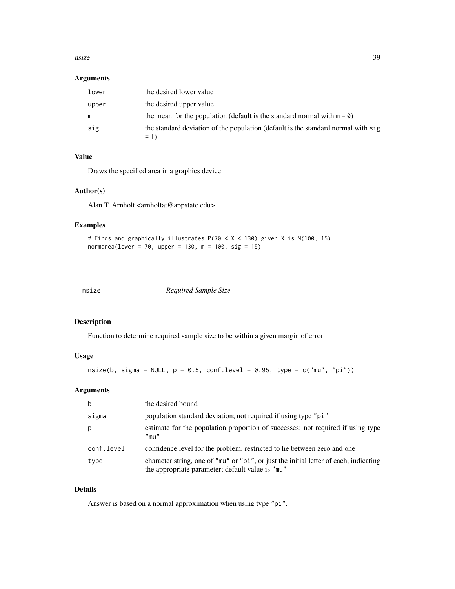### nsize 39

## Arguments

| lower | the desired lower value                                                                    |
|-------|--------------------------------------------------------------------------------------------|
| upper | the desired upper value                                                                    |
| m     | the mean for the population (default is the standard normal with $m = \emptyset$ )         |
| sig   | the standard deviation of the population (default is the standard normal with sig<br>$= 1$ |

## Value

Draws the specified area in a graphics device

# Author(s)

Alan T. Arnholt <arnholtat@appstate.edu>

# Examples

```
# Finds and graphically illustrates P(70 < X < 130) given X is N(100, 15)
normarea(lower = 70, upper = 130, m = 100, sig = 15)
```

|  |  | v |
|--|--|---|

 $Required$  Sample Size

# Description

Function to determine required sample size to be within a given margin of error

# Usage

nsize(b, sigma = NULL,  $p = 0.5$ , conf.level = 0.95, type = c("mu", "pi"))

## Arguments

| b          | the desired bound                                                                                                                         |
|------------|-------------------------------------------------------------------------------------------------------------------------------------------|
| sigma      | population standard deviation; not required if using type "pi"                                                                            |
| p          | estimate for the population proportion of successes; not required if using type<br>$"$ mu $"$                                             |
| conf.level | confidence level for the problem, restricted to lie between zero and one                                                                  |
| type       | character string, one of "mu" or "pi", or just the initial letter of each, indicating<br>the appropriate parameter; default value is "mu" |

## Details

Answer is based on a normal approximation when using type "pi".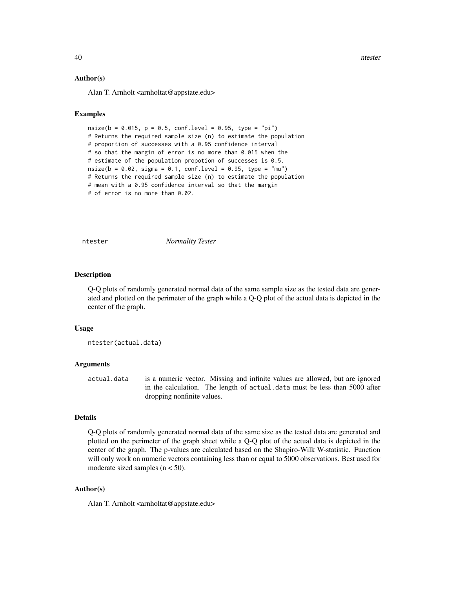40 https://www.facebook.com/intervalue.com/intervalue.com/intervalue.com/intervalue.com/intervalue.com/intervalue.com/intervalue.com/intervalue.com/intervalue.com/intervalue.com/intervalue.com/intervalue.com/intervalue.com

### Author(s)

Alan T. Arnholt <arnholtat@appstate.edu>

# Examples

```
nsize(b = 0.015, p = 0.5, conf. level = 0.95, type = "pi")# Returns the required sample size (n) to estimate the population
# proportion of successes with a 0.95 confidence interval
# so that the margin of error is no more than 0.015 when the
# estimate of the population propotion of successes is 0.5.
nsize(b = 0.02, sigma = 0.1, conf. level = 0.95, type = "mu")# Returns the required sample size (n) to estimate the population
# mean with a 0.95 confidence interval so that the margin
# of error is no more than 0.02.
```
ntester *Normality Tester*

### **Description**

Q-Q plots of randomly generated normal data of the same sample size as the tested data are generated and plotted on the perimeter of the graph while a Q-Q plot of the actual data is depicted in the center of the graph.

## Usage

```
ntester(actual.data)
```
### Arguments

actual.data is a numeric vector. Missing and infinite values are allowed, but are ignored in the calculation. The length of actual.data must be less than 5000 after dropping nonfinite values.

## Details

Q-Q plots of randomly generated normal data of the same size as the tested data are generated and plotted on the perimeter of the graph sheet while a Q-Q plot of the actual data is depicted in the center of the graph. The p-values are calculated based on the Shapiro-Wilk W-statistic. Function will only work on numeric vectors containing less than or equal to 5000 observations. Best used for moderate sized samples  $(n < 50)$ .

# Author(s)

Alan T. Arnholt <arnholtat@appstate.edu>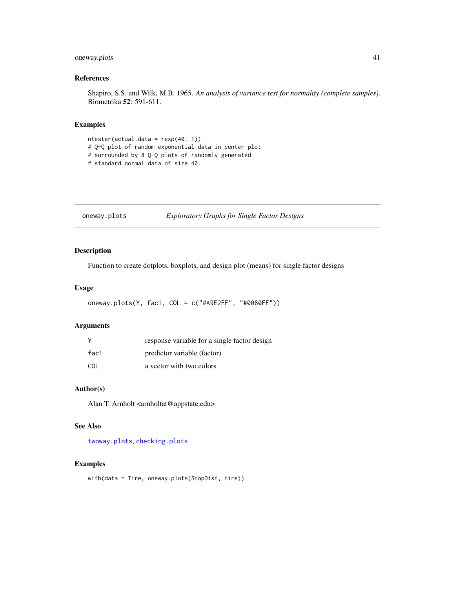# oneway.plots 41

## References

Shapiro, S.S. and Wilk, M.B. 1965. *An analysis of variance test for normality (complete samples)*. Biometrika 52: 591-611.

## Examples

```
ntester(actual.data = rexp(40, 1))
# Q-Q plot of random exponential data in center plot
# surrounded by 8 Q-Q plots of randomly generated
# standard normal data of size 40.
```
<span id="page-40-0"></span>oneway.plots *Exploratory Graphs for Single Factor Designs*

## Description

Function to create dotplots, boxplots, and design plot (means) for single factor designs

# Usage

oneway.plots(Y, fac1, COL = c("#A9E2FF", "#0080FF"))

## Arguments

|      | response variable for a single factor design |
|------|----------------------------------------------|
| fac1 | predictor variable (factor)                  |
| COL  | a vector with two colors                     |

# Author(s)

Alan T. Arnholt <arnholtat@appstate.edu>

## See Also

[twoway.plots](#page-67-0), [checking.plots](#page-11-0)

## Examples

with(data = Tire, oneway.plots(StopDist, tire))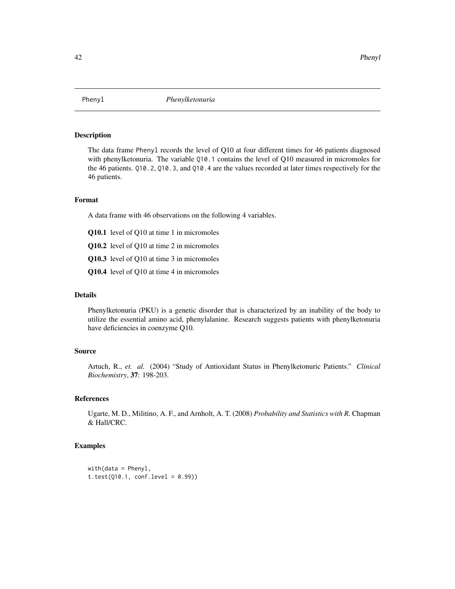The data frame Phenyl records the level of Q10 at four different times for 46 patients diagnosed with phenylketonuria. The variable Q10.1 contains the level of Q10 measured in micromoles for the 46 patients. Q10.2, Q10.3, and Q10.4 are the values recorded at later times respectively for the 46 patients.

# Format

A data frame with 46 observations on the following 4 variables.

- Q10.1 level of Q10 at time 1 in micromoles
- Q10.2 level of Q10 at time 2 in micromoles
- Q10.3 level of Q10 at time 3 in micromoles
- Q10.4 level of Q10 at time 4 in micromoles

## Details

Phenylketonuria (PKU) is a genetic disorder that is characterized by an inability of the body to utilize the essential amino acid, phenylalanine. Research suggests patients with phenylketonuria have deficiencies in coenzyme Q10.

## Source

Artuch, R., *et. al.* (2004) "Study of Antioxidant Status in Phenylketonuric Patients." *Clinical Biochemistry*, 37: 198-203.

## References

Ugarte, M. D., Militino, A. F., and Arnholt, A. T. (2008) *Probability and Statistics with R*. Chapman & Hall/CRC.

```
width(data = Phenyl,t.test(Q10.1, conf. level = 0.99)
```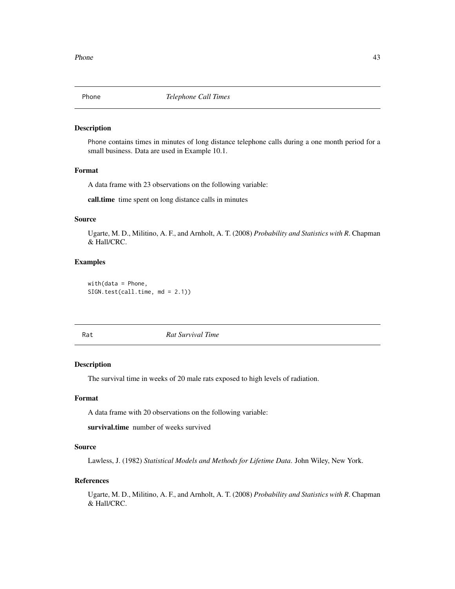Phone contains times in minutes of long distance telephone calls during a one month period for a small business. Data are used in Example 10.1.

## Format

A data frame with 23 observations on the following variable:

call.time time spent on long distance calls in minutes

### Source

Ugarte, M. D., Militino, A. F., and Arnholt, A. T. (2008) *Probability and Statistics with R*. Chapman & Hall/CRC.

# Examples

with(data = Phone, SIGN.test(call.time, md = 2.1))

Rat *Rat Survival Time*

### Description

The survival time in weeks of 20 male rats exposed to high levels of radiation.

### Format

A data frame with 20 observations on the following variable:

survival.time number of weeks survived

### Source

Lawless, J. (1982) *Statistical Models and Methods for Lifetime Data*. John Wiley, New York.

### References

Ugarte, M. D., Militino, A. F., and Arnholt, A. T. (2008) *Probability and Statistics with R*. Chapman & Hall/CRC.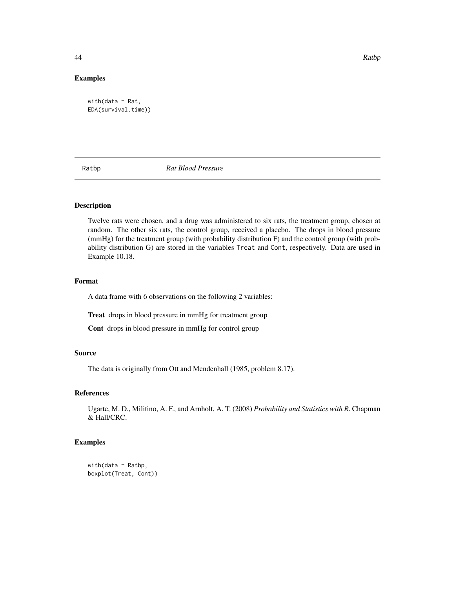44 **Ratbp** Ratbp Ratbp Ratbp Ratbp Ratbp Ratbp Ratbp Ratbp Ratbp Ratbp Ratbp Ratbp Ratbp Ratbp Ratbp Ratbp Ratbp Ratbp Ratbp Ratbp Ratbp Ratbp Ratbp Ratbp Ratbp Ratbp Ratbp Ratbp Ratbp Ratbp Ratbp Ratbp Ratbp Ratbp Ratbp R

## Examples

with(data = Rat, EDA(survival.time))

Ratbp *Rat Blood Pressure*

# Description

Twelve rats were chosen, and a drug was administered to six rats, the treatment group, chosen at random. The other six rats, the control group, received a placebo. The drops in blood pressure (mmHg) for the treatment group (with probability distribution F) and the control group (with probability distribution G) are stored in the variables Treat and Cont, respectively. Data are used in Example 10.18.

## Format

A data frame with 6 observations on the following 2 variables:

Treat drops in blood pressure in mmHg for treatment group

Cont drops in blood pressure in mmHg for control group

## Source

The data is originally from Ott and Mendenhall (1985, problem 8.17).

## References

Ugarte, M. D., Militino, A. F., and Arnholt, A. T. (2008) *Probability and Statistics with R*. Chapman & Hall/CRC.

```
with(data = Ratbp,
boxplot(Treat, Cont))
```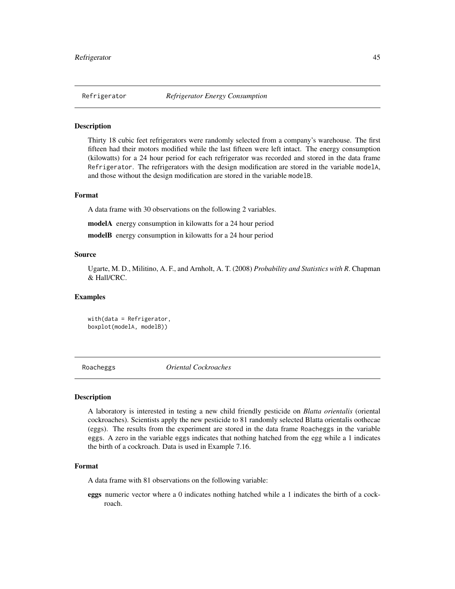Thirty 18 cubic feet refrigerators were randomly selected from a company's warehouse. The first fifteen had their motors modified while the last fifteen were left intact. The energy consumption (kilowatts) for a 24 hour period for each refrigerator was recorded and stored in the data frame Refrigerator. The refrigerators with the design modification are stored in the variable modelA, and those without the design modification are stored in the variable modelB.

# Format

A data frame with 30 observations on the following 2 variables.

modelA energy consumption in kilowatts for a 24 hour period

modelB energy consumption in kilowatts for a 24 hour period

### Source

Ugarte, M. D., Militino, A. F., and Arnholt, A. T. (2008) *Probability and Statistics with R*. Chapman & Hall/CRC.

### Examples

with(data = Refrigerator, boxplot(modelA, modelB))

Roacheggs *Oriental Cockroaches*

### Description

A laboratory is interested in testing a new child friendly pesticide on *Blatta orientalis* (oriental cockroaches). Scientists apply the new pesticide to 81 randomly selected Blatta orientalis oothecae (eggs). The results from the experiment are stored in the data frame Roacheggs in the variable eggs. A zero in the variable eggs indicates that nothing hatched from the egg while a 1 indicates the birth of a cockroach. Data is used in Example 7.16.

### Format

A data frame with 81 observations on the following variable:

eggs numeric vector where a 0 indicates nothing hatched while a 1 indicates the birth of a cockroach.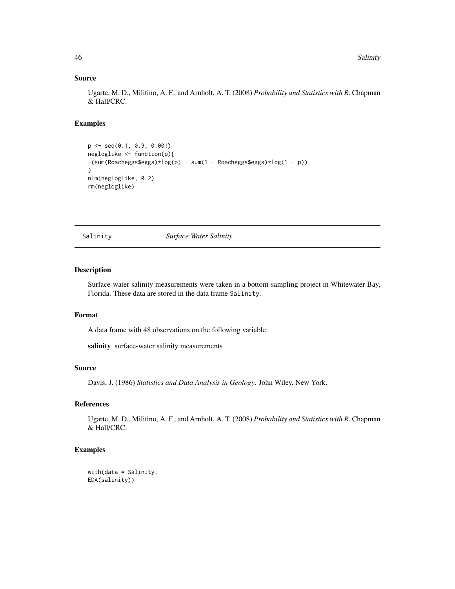## Source

Ugarte, M. D., Militino, A. F., and Arnholt, A. T. (2008) *Probability and Statistics with R*. Chapman & Hall/CRC.

## Examples

```
p <- seq(0.1, 0.9, 0.001)
negloglike <- function(p){
-(sum(Roacheggs$eggs)*log(p) + sum(1 - Roacheggs$eggs)*log(1 - p))
}
nlm(negloglike, 0.2)
rm(negloglike)
```
Salinity *Surface Water Salinity*

# Description

Surface-water salinity measurements were taken in a bottom-sampling project in Whitewater Bay, Florida. These data are stored in the data frame Salinity.

# Format

A data frame with 48 observations on the following variable:

salinity surface-water salinity measurements

## Source

Davis, J. (1986) *Statistics and Data Analysis in Geology*. John Wiley, New York.

# References

Ugarte, M. D., Militino, A. F., and Arnholt, A. T. (2008) *Probability and Statistics with R*. Chapman & Hall/CRC.

```
with(data = Salinity,
EDA(salinity))
```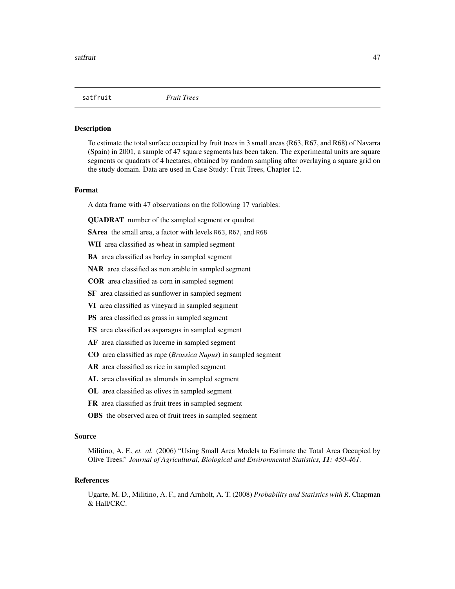To estimate the total surface occupied by fruit trees in 3 small areas (R63, R67, and R68) of Navarra (Spain) in 2001, a sample of 47 square segments has been taken. The experimental units are square segments or quadrats of 4 hectares, obtained by random sampling after overlaying a square grid on the study domain. Data are used in Case Study: Fruit Trees, Chapter 12.

### Format

A data frame with 47 observations on the following 17 variables:

QUADRAT number of the sampled segment or quadrat

SArea the small area, a factor with levels R63, R67, and R68

WH area classified as wheat in sampled segment

BA area classified as barley in sampled segment

NAR area classified as non arable in sampled segment

COR area classified as corn in sampled segment

SF area classified as sunflower in sampled segment

VI area classified as vineyard in sampled segment

PS area classified as grass in sampled segment

ES area classified as asparagus in sampled segment

AF area classified as lucerne in sampled segment

CO area classified as rape (*Brassica Napus*) in sampled segment

AR area classified as rice in sampled segment

AL area classified as almonds in sampled segment

OL area classified as olives in sampled segment

FR area classified as fruit trees in sampled segment

OBS the observed area of fruit trees in sampled segment

### Source

Militino, A. F., *et. al.* (2006) "Using Small Area Models to Estimate the Total Area Occupied by Olive Trees." *Journal of Agricultural, Biological and Environmental Statistics, 11: 450-461.*

### References

Ugarte, M. D., Militino, A. F., and Arnholt, A. T. (2008) *Probability and Statistics with R*. Chapman & Hall/CRC.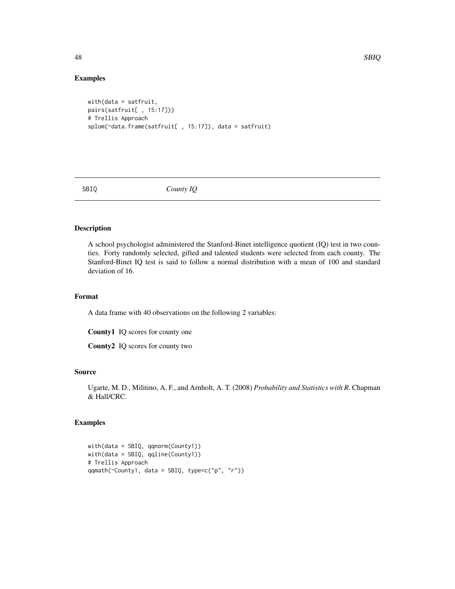# Examples

```
with(data = satfruit,
pairs(satfruit[ , 15:17]))
# Trellis Approach
splom(~data.frame(satfruit[ , 15:17]), data = satfruit)
```
SBIQ *County IQ*

# Description

A school psychologist administered the Stanford-Binet intelligence quotient (IQ) test in two counties. Forty randomly selected, gifted and talented students were selected from each county. The Stanford-Binet IQ test is said to follow a normal distribution with a mean of 100 and standard deviation of 16.

### Format

A data frame with 40 observations on the following 2 variables:

County1 IQ scores for county one

County2 IQ scores for county two

## Source

Ugarte, M. D., Militino, A. F., and Arnholt, A. T. (2008) *Probability and Statistics with R*. Chapman & Hall/CRC.

# Examples

with(data = SBIQ, qqnorm(County1)) with(data = SBIQ, qqline(County1)) # Trellis Approach qqmath(~County1, data = SBIQ, type=c("p", "r"))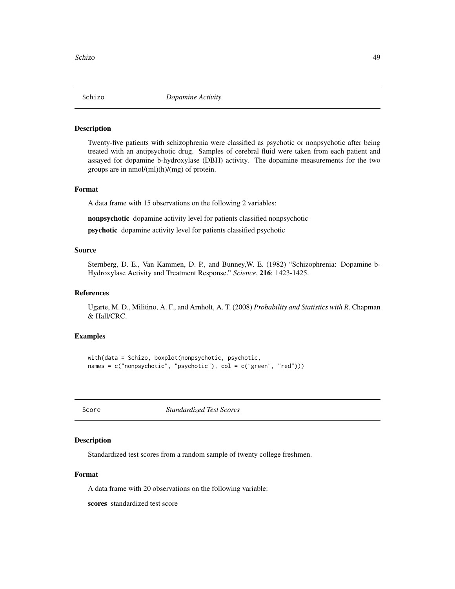Twenty-five patients with schizophrenia were classified as psychotic or nonpsychotic after being treated with an antipsychotic drug. Samples of cerebral fluid were taken from each patient and assayed for dopamine b-hydroxylase (DBH) activity. The dopamine measurements for the two groups are in nmol/(ml)(h)/(mg) of protein.

# Format

A data frame with 15 observations on the following 2 variables:

nonpsychotic dopamine activity level for patients classified nonpsychotic

psychotic dopamine activity level for patients classified psychotic

# Source

Sternberg, D. E., Van Kammen, D. P., and Bunney,W. E. (1982) "Schizophrenia: Dopamine b-Hydroxylase Activity and Treatment Response." *Science*, 216: 1423-1425.

## References

Ugarte, M. D., Militino, A. F., and Arnholt, A. T. (2008) *Probability and Statistics with R*. Chapman & Hall/CRC.

## Examples

```
with(data = Schizo, boxplot(nonpsychotic, psychotic,
names = c("nonpsychotic", "psychotic"), col = c("green", "red")))
```
Score *Standardized Test Scores*

## **Description**

Standardized test scores from a random sample of twenty college freshmen.

## Format

A data frame with 20 observations on the following variable:

scores standardized test score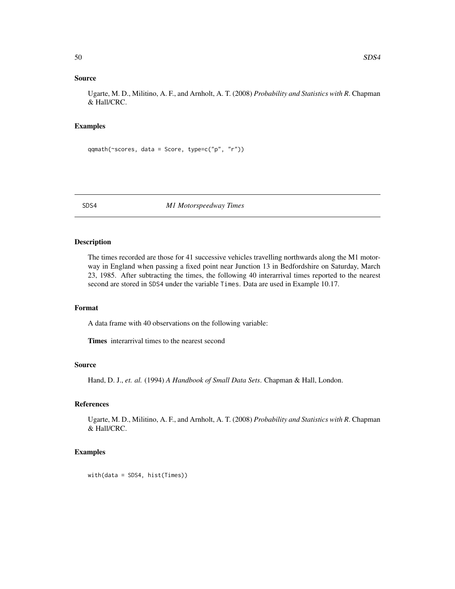## Source

Ugarte, M. D., Militino, A. F., and Arnholt, A. T. (2008) *Probability and Statistics with R*. Chapman & Hall/CRC.

# Examples

```
qqmath(~scores, data = Score, type=c("p", "r"))
```
### SDS4 *M1 Motorspeedway Times*

# Description

The times recorded are those for 41 successive vehicles travelling northwards along the M1 motorway in England when passing a fixed point near Junction 13 in Bedfordshire on Saturday, March 23, 1985. After subtracting the times, the following 40 interarrival times reported to the nearest second are stored in SDS4 under the variable Times. Data are used in Example 10.17.

### Format

A data frame with 40 observations on the following variable:

Times interarrival times to the nearest second

## Source

Hand, D. J., *et. al.* (1994) *A Handbook of Small Data Sets*. Chapman & Hall, London.

# References

Ugarte, M. D., Militino, A. F., and Arnholt, A. T. (2008) *Probability and Statistics with R*. Chapman & Hall/CRC.

## Examples

with(data = SDS4, hist(Times))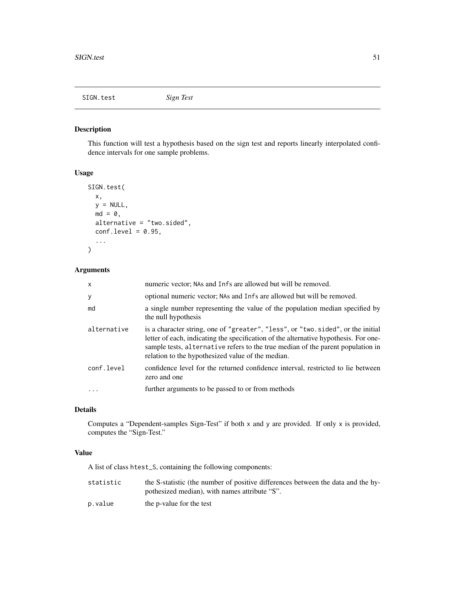SIGN.test *Sign Test*

# Description

This function will test a hypothesis based on the sign test and reports linearly interpolated confidence intervals for one sample problems.

# Usage

```
SIGN.test(
  x,
 y = NULL,md = 0,alternative = "two.sided",
  conf. level = 0.95,
  ...
)
```
# Arguments

| $\mathsf{x}$ | numeric vector; NAs and Infs are allowed but will be removed.                                                                                                                                                                                                                                                   |
|--------------|-----------------------------------------------------------------------------------------------------------------------------------------------------------------------------------------------------------------------------------------------------------------------------------------------------------------|
| y            | optional numeric vector; NAs and Infs are allowed but will be removed.                                                                                                                                                                                                                                          |
| md           | a single number representing the value of the population median specified by<br>the null hypothesis                                                                                                                                                                                                             |
| alternative  | is a character string, one of "greater", "less", or "two.sided", or the initial<br>letter of each, indicating the specification of the alternative hypothesis. For one-<br>sample tests, alternative refers to the true median of the parent population in<br>relation to the hypothesized value of the median. |
| conf.level   | confidence level for the returned confidence interval, restricted to lie between<br>zero and one                                                                                                                                                                                                                |
|              | further arguments to be passed to or from methods                                                                                                                                                                                                                                                               |

# Details

Computes a "Dependent-samples Sign-Test" if both x and y are provided. If only x is provided, computes the "Sign-Test."

## Value

A list of class htest\_S, containing the following components:

| statistic | the S-statistic (the number of positive differences between the data and the hy- |
|-----------|----------------------------------------------------------------------------------|
|           | pothesized median), with names attribute "S".                                    |

p.value the p-value for the test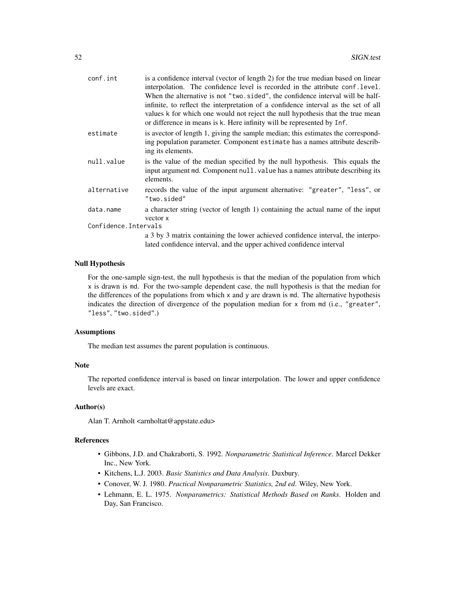| conf.int              | is a confidence interval (vector of length 2) for the true median based on linear  |
|-----------------------|------------------------------------------------------------------------------------|
|                       | interpolation. The confidence level is recorded in the attribute conf. level.      |
|                       | When the alternative is not "two.sided", the confidence interval will be half-     |
|                       | infinite, to reflect the interpretation of a confidence interval as the set of all |
|                       | values k for which one would not reject the null hypothesis that the true mean     |
|                       | or difference in means is k. Here infinity will be represented by Inf.             |
| estimate              | is a vector of length 1, giving the sample median; this estimates the correspond-  |
|                       | ing population parameter. Component estimate has a names attribute describ-        |
|                       | ing its elements.                                                                  |
| null.value            | is the value of the median specified by the null hypothesis. This equals the       |
|                       | input argument md. Component null value has a names attribute describing its       |
|                       | elements.                                                                          |
| alternative           | records the value of the input argument alternative: "greater", "less", or         |
|                       | "two.sided"                                                                        |
| data.name             | a character string (vector of length 1) containing the actual name of the input    |
|                       | vector x                                                                           |
| Confidence. Intervals |                                                                                    |
|                       | a 3 by 3 matrix containing the lower achieved confidence interval, the interpo-    |
|                       | lated confidence interval, and the upper achived confidence interval               |

## Null Hypothesis

For the one-sample sign-test, the null hypothesis is that the median of the population from which x is drawn is md. For the two-sample dependent case, the null hypothesis is that the median for the differences of the populations from which  $x$  and  $y$  are drawn is md. The alternative hypothesis indicates the direction of divergence of the population median for x from md (i.e., "greater", "less", "two.sided".)

## Assumptions

The median test assumes the parent population is continuous.

### Note

The reported confidence interval is based on linear interpolation. The lower and upper confidence levels are exact.

## Author(s)

Alan T. Arnholt <arnholtat@appstate.edu>

## References

- Gibbons, J.D. and Chakraborti, S. 1992. *Nonparametric Statistical Inference*. Marcel Dekker Inc., New York.
- Kitchens, L.J. 2003. *Basic Statistics and Data Analysis*. Duxbury.
- Conover, W. J. 1980. *Practical Nonparametric Statistics, 2nd ed*. Wiley, New York.
- Lehmann, E. L. 1975. *Nonparametrics: Statistical Methods Based on Ranks*. Holden and Day, San Francisco.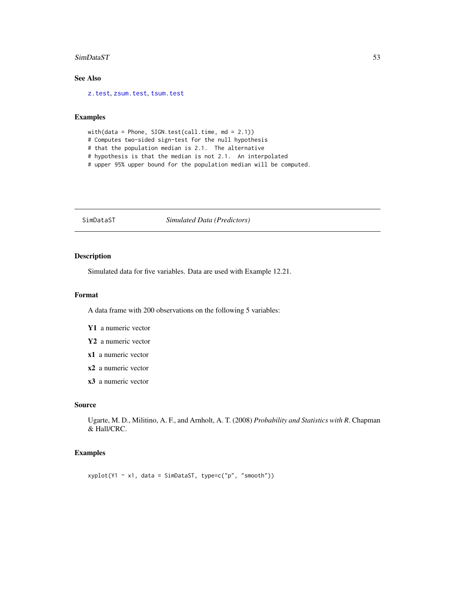### SimDataST 53

# See Also

[z.test](#page-77-0), [zsum.test](#page-80-0), [tsum.test](#page-64-0)

## Examples

with(data = Phone, SIGN.test(call.time, md = 2.1)) # Computes two-sided sign-test for the null hypothesis # that the population median is 2.1. The alternative # hypothesis is that the median is not 2.1. An interpolated # upper 95% upper bound for the population median will be computed.

SimDataST *Simulated Data (Predictors)*

# Description

Simulated data for five variables. Data are used with Example 12.21.

## Format

A data frame with 200 observations on the following 5 variables:

- Y1 a numeric vector
- Y2 a numeric vector
- x1 a numeric vector
- x2 a numeric vector
- x3 a numeric vector

## Source

Ugarte, M. D., Militino, A. F., and Arnholt, A. T. (2008) *Probability and Statistics with R*. Chapman & Hall/CRC.

## Examples

 $xyplot(Y1 - x1, data = SimDataST, type=c("p", "smooth"))$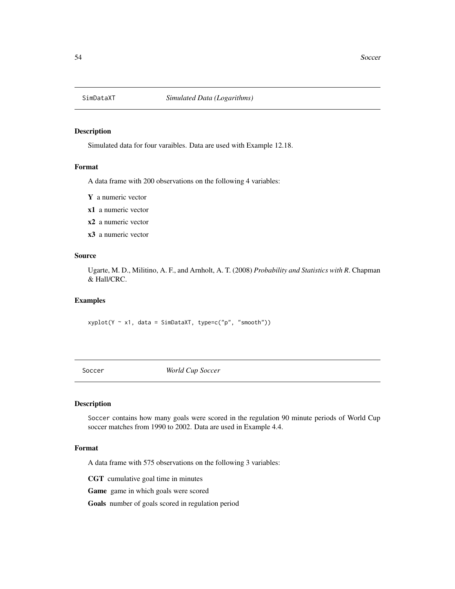Simulated data for four varaibles. Data are used with Example 12.18.

## Format

A data frame with 200 observations on the following 4 variables:

Y a numeric vector

- x1 a numeric vector
- x2 a numeric vector
- x3 a numeric vector

# Source

Ugarte, M. D., Militino, A. F., and Arnholt, A. T. (2008) *Probability and Statistics with R*. Chapman & Hall/CRC.

### Examples

 $xyplot(Y \sim x1, data = SimDataXT, type=c("p", "smooth"))$ 

Soccer *World Cup Soccer*

### Description

Soccer contains how many goals were scored in the regulation 90 minute periods of World Cup soccer matches from 1990 to 2002. Data are used in Example 4.4.

## Format

A data frame with 575 observations on the following 3 variables:

CGT cumulative goal time in minutes

Game game in which goals were scored

Goals number of goals scored in regulation period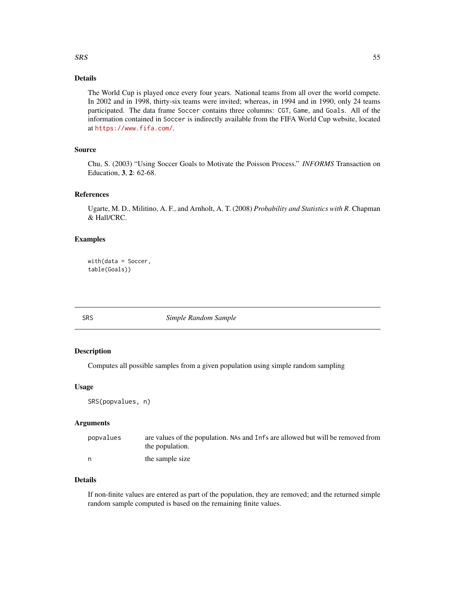## $SRS$  55

# Details

The World Cup is played once every four years. National teams from all over the world compete. In 2002 and in 1998, thirty-six teams were invited; whereas, in 1994 and in 1990, only 24 teams participated. The data frame Soccer contains three columns: CGT, Game, and Goals. All of the information contained in Soccer is indirectly available from the FIFA World Cup website, located at <https://www.fifa.com/>.

# Source

Chu, S. (2003) "Using Soccer Goals to Motivate the Poisson Process." *INFORMS* Transaction on Education, 3, 2: 62-68.

## References

Ugarte, M. D., Militino, A. F., and Arnholt, A. T. (2008) *Probability and Statistics with R*. Chapman & Hall/CRC.

## Examples

with(data = Soccer, table(Goals))

SRS *Simple Random Sample*

# Description

Computes all possible samples from a given population using simple random sampling

## Usage

SRS(popvalues, n)

## Arguments

| popvalues | are values of the population. NAs and Infs are allowed but will be removed from |
|-----------|---------------------------------------------------------------------------------|
|           | the population.                                                                 |
|           | the sample size                                                                 |

# Details

If non-finite values are entered as part of the population, they are removed; and the returned simple random sample computed is based on the remaining finite values.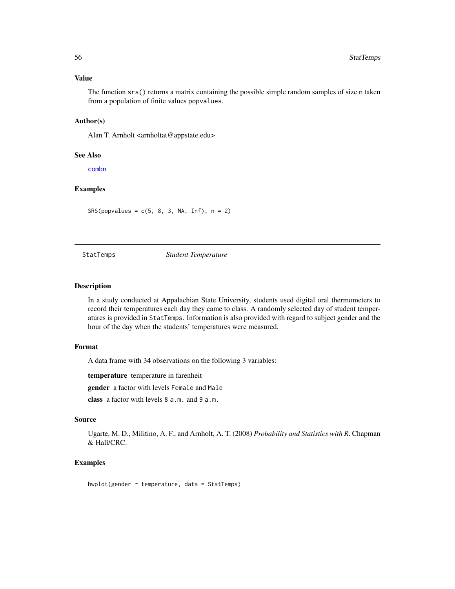## Value

The function srs() returns a matrix containing the possible simple random samples of size n taken from a population of finite values popvalues.

## Author(s)

Alan T. Arnholt <arnholtat@appstate.edu>

### See Also

[combn](#page-0-0)

# Examples

 $SRS(popvalues = c(5, 8, 3, NA, Inf), n = 2)$ 

### StatTemps *Student Temperature*

## Description

In a study conducted at Appalachian State University, students used digital oral thermometers to record their temperatures each day they came to class. A randomly selected day of student temperatures is provided in StatTemps. Information is also provided with regard to subject gender and the hour of the day when the students' temperatures were measured.

## Format

A data frame with 34 observations on the following 3 variables:

temperature temperature in farenheit

gender a factor with levels Female and Male

class a factor with levels 8 a.m. and 9 a.m.

### Source

Ugarte, M. D., Militino, A. F., and Arnholt, A. T. (2008) *Probability and Statistics with R*. Chapman & Hall/CRC.

## Examples

bwplot(gender  $\sim$  temperature, data = StatTemps)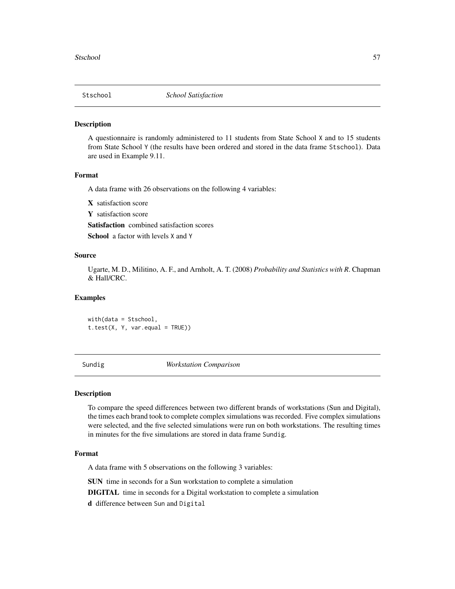A questionnaire is randomly administered to 11 students from State School X and to 15 students from State School Y (the results have been ordered and stored in the data frame Stschool). Data are used in Example 9.11.

## Format

A data frame with 26 observations on the following 4 variables:

X satisfaction score

Y satisfaction score

Satisfaction combined satisfaction scores

School a factor with levels X and Y

## Source

Ugarte, M. D., Militino, A. F., and Arnholt, A. T. (2008) *Probability and Statistics with R*. Chapman & Hall/CRC.

### Examples

with(data = Stschool,  $t.test(X, Y, var.equals = TRUE))$ 

Sundig *Workstation Comparison*

### Description

To compare the speed differences between two different brands of workstations (Sun and Digital), the times each brand took to complete complex simulations was recorded. Five complex simulations were selected, and the five selected simulations were run on both workstations. The resulting times in minutes for the five simulations are stored in data frame Sundig.

## Format

A data frame with 5 observations on the following 3 variables:

SUN time in seconds for a Sun workstation to complete a simulation

DIGITAL time in seconds for a Digital workstation to complete a simulation

d difference between Sun and Digital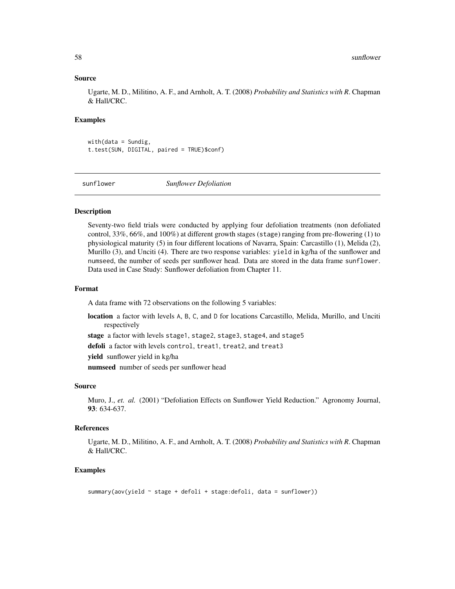### Source

Ugarte, M. D., Militino, A. F., and Arnholt, A. T. (2008) *Probability and Statistics with R*. Chapman & Hall/CRC.

## Examples

 $with(data = Sunday,$ t.test(SUN, DIGITAL, paired = TRUE)\$conf)

sunflower *Sunflower Defoliation*

## Description

Seventy-two field trials were conducted by applying four defoliation treatments (non defoliated control, 33%, 66%, and 100%) at different growth stages (stage) ranging from pre-flowering (1) to physiological maturity (5) in four different locations of Navarra, Spain: Carcastillo (1), Melida (2), Murillo (3), and Unciti (4). There are two response variables: yield in kg/ha of the sunflower and numseed, the number of seeds per sunflower head. Data are stored in the data frame sunflower. Data used in Case Study: Sunflower defoliation from Chapter 11.

### Format

A data frame with 72 observations on the following 5 variables:

location a factor with levels A, B, C, and D for locations Carcastillo, Melida, Murillo, and Unciti respectively

stage a factor with levels stage1, stage2, stage3, stage4, and stage5

defoli a factor with levels control, treat1, treat2, and treat3

yield sunflower yield in kg/ha

numseed number of seeds per sunflower head

### Source

Muro, J., *et. al.* (2001) "Defoliation Effects on Sunflower Yield Reduction." Agronomy Journal, 93: 634-637.

## References

Ugarte, M. D., Militino, A. F., and Arnholt, A. T. (2008) *Probability and Statistics with R*. Chapman & Hall/CRC.

```
summary(aov(yield ~ stage + defoli + stage:defoli, data = sunflower))
```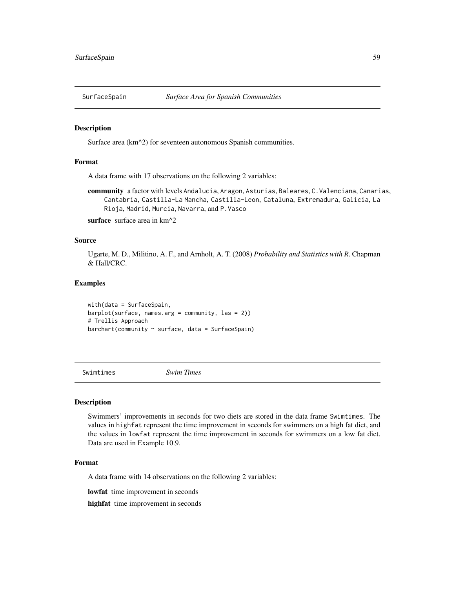Surface area (km^2) for seventeen autonomous Spanish communities.

### Format

A data frame with 17 observations on the following 2 variables:

community a factor with levels Andalucia, Aragon, Asturias, Baleares, C.Valenciana, Canarias, Cantabria, Castilla-La Mancha, Castilla-Leon, Cataluna, Extremadura, Galicia, La Rioja, Madrid, Murcia, Navarra, and P.Vasco

surface surface area in km<sup>^2</sup>

## Source

Ugarte, M. D., Militino, A. F., and Arnholt, A. T. (2008) *Probability and Statistics with R*. Chapman & Hall/CRC.

## Examples

with(data = SurfaceSpain, barplot(surface, names.arg = community, las = 2)) # Trellis Approach  $barchart(community ~ surface, data = SurfaceSpin)$ 

Swimtimes *Swim Times*

### Description

Swimmers' improvements in seconds for two diets are stored in the data frame Swimtimes. The values in highfat represent the time improvement in seconds for swimmers on a high fat diet, and the values in lowfat represent the time improvement in seconds for swimmers on a low fat diet. Data are used in Example 10.9.

### Format

A data frame with 14 observations on the following 2 variables:

lowfat time improvement in seconds

highfat time improvement in seconds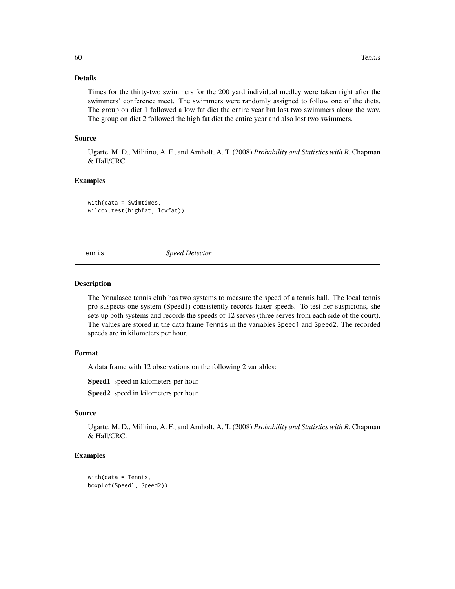## Details

Times for the thirty-two swimmers for the 200 yard individual medley were taken right after the swimmers' conference meet. The swimmers were randomly assigned to follow one of the diets. The group on diet 1 followed a low fat diet the entire year but lost two swimmers along the way. The group on diet 2 followed the high fat diet the entire year and also lost two swimmers.

# Source

Ugarte, M. D., Militino, A. F., and Arnholt, A. T. (2008) *Probability and Statistics with R*. Chapman & Hall/CRC.

### Examples

with(data = Swimtimes, wilcox.test(highfat, lowfat))

Tennis *Speed Detector*

### Description

The Yonalasee tennis club has two systems to measure the speed of a tennis ball. The local tennis pro suspects one system (Speed1) consistently records faster speeds. To test her suspicions, she sets up both systems and records the speeds of 12 serves (three serves from each side of the court). The values are stored in the data frame Tennis in the variables Speed1 and Speed2. The recorded speeds are in kilometers per hour.

### Format

A data frame with 12 observations on the following 2 variables:

Speed1 speed in kilometers per hour

Speed<sub>2</sub> speed in kilometers per hour

# Source

Ugarte, M. D., Militino, A. F., and Arnholt, A. T. (2008) *Probability and Statistics with R*. Chapman & Hall/CRC.

```
with(data = Tennis,
boxplot(Speed1, Speed2))
```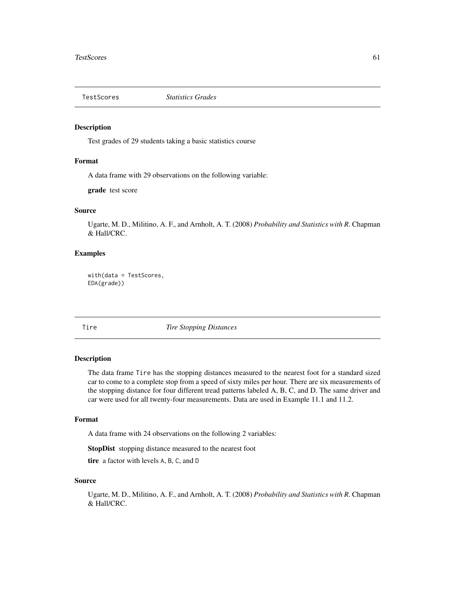Test grades of 29 students taking a basic statistics course

### Format

A data frame with 29 observations on the following variable:

grade test score

# Source

Ugarte, M. D., Militino, A. F., and Arnholt, A. T. (2008) *Probability and Statistics with R*. Chapman & Hall/CRC.

# Examples

with(data = TestScores, EDA(grade))

Tire *Tire Stopping Distances*

### Description

The data frame Tire has the stopping distances measured to the nearest foot for a standard sized car to come to a complete stop from a speed of sixty miles per hour. There are six measurements of the stopping distance for four different tread patterns labeled A, B, C, and D. The same driver and car were used for all twenty-four measurements. Data are used in Example 11.1 and 11.2.

### Format

A data frame with 24 observations on the following 2 variables:

StopDist stopping distance measured to the nearest foot

tire a factor with levels A, B, C, and D

### Source

Ugarte, M. D., Militino, A. F., and Arnholt, A. T. (2008) *Probability and Statistics with R*. Chapman & Hall/CRC.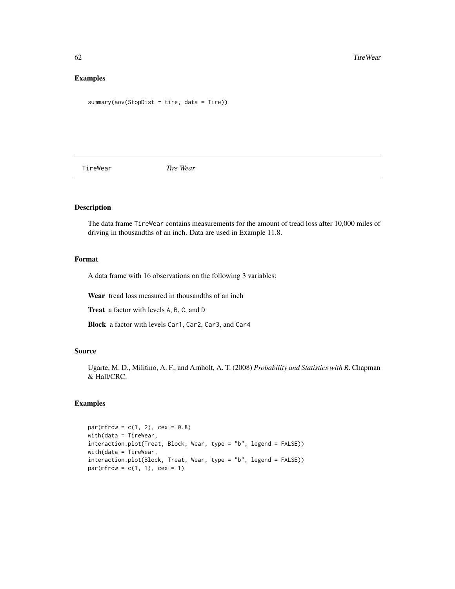# Examples

```
summary(aov(StopDist ~ tire, data = Tire))
```
TireWear *Tire Wear*

# Description

The data frame TireWear contains measurements for the amount of tread loss after 10,000 miles of driving in thousandths of an inch. Data are used in Example 11.8.

## Format

A data frame with 16 observations on the following 3 variables:

Wear tread loss measured in thousandths of an inch

Treat a factor with levels A, B, C, and D

Block a factor with levels Car1, Car2, Car3, and Car4

# Source

Ugarte, M. D., Militino, A. F., and Arnholt, A. T. (2008) *Probability and Statistics with R*. Chapman & Hall/CRC.

```
par(mfrow = c(1, 2), cex = 0.8)width(data = TireWear,interaction.plot(Treat, Block, Wear, type = "b", legend = FALSE))
with(data = TireWear,
interaction.plot(Block, Treat, Wear, type = "b", legend = FALSE))
par(mfrow = c(1, 1), cex = 1)
```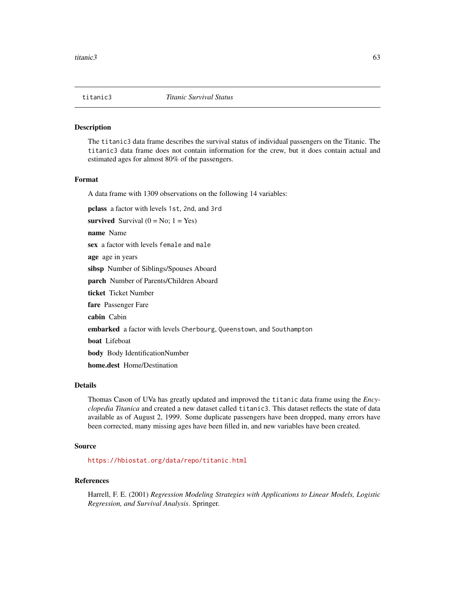The titanic3 data frame describes the survival status of individual passengers on the Titanic. The titanic3 data frame does not contain information for the crew, but it does contain actual and estimated ages for almost 80% of the passengers.

## Format

A data frame with 1309 observations on the following 14 variables:

pclass a factor with levels 1st, 2nd, and 3rd

survived Survival  $(0 = No; 1 = Yes)$ 

name Name

sex a factor with levels female and male

age age in years

sibsp Number of Siblings/Spouses Aboard

parch Number of Parents/Children Aboard

ticket Ticket Number

fare Passenger Fare

cabin Cabin

embarked a factor with levels Cherbourg, Queenstown, and Southampton

boat Lifeboat

body Body IdentificationNumber

home.dest Home/Destination

# Details

Thomas Cason of UVa has greatly updated and improved the titanic data frame using the *Encyclopedia Titanica* and created a new dataset called titanic3. This dataset reflects the state of data available as of August 2, 1999. Some duplicate passengers have been dropped, many errors have been corrected, many missing ages have been filled in, and new variables have been created.

## Source

<https://hbiostat.org/data/repo/titanic.html>

### References

Harrell, F. E. (2001) *Regression Modeling Strategies with Applications to Linear Models, Logistic Regression, and Survival Analysis*. Springer.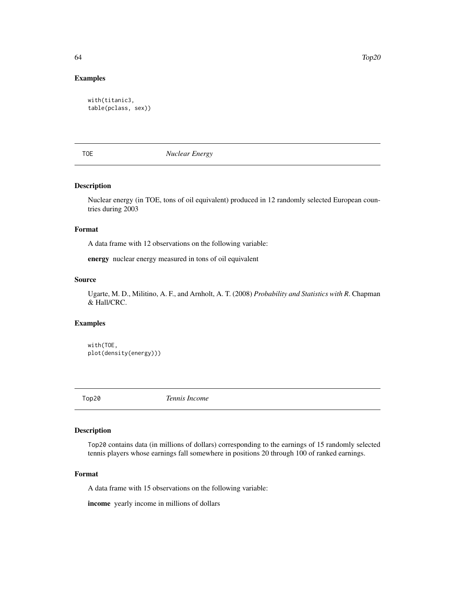## Examples

```
with(titanic3,
table(pclass, sex))
```
TOE *Nuclear Energy*

## Description

Nuclear energy (in TOE, tons of oil equivalent) produced in 12 randomly selected European countries during 2003

### Format

A data frame with 12 observations on the following variable:

energy nuclear energy measured in tons of oil equivalent

## Source

Ugarte, M. D., Militino, A. F., and Arnholt, A. T. (2008) *Probability and Statistics with R*. Chapman & Hall/CRC.

# Examples

with(TOE, plot(density(energy)))

Top20 *Tennis Income*

# Description

Top20 contains data (in millions of dollars) corresponding to the earnings of 15 randomly selected tennis players whose earnings fall somewhere in positions 20 through 100 of ranked earnings.

## Format

A data frame with 15 observations on the following variable:

income yearly income in millions of dollars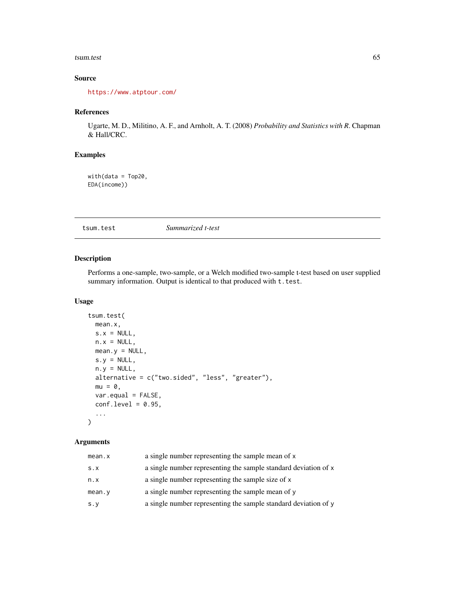### tsum.test 65

# Source

<https://www.atptour.com/>

## References

Ugarte, M. D., Militino, A. F., and Arnholt, A. T. (2008) *Probability and Statistics with R*. Chapman & Hall/CRC.

# Examples

with(data = Top20, EDA(income))

<span id="page-64-0"></span>tsum.test *Summarized t-test*

## Description

Performs a one-sample, two-sample, or a Welch modified two-sample t-test based on user supplied summary information. Output is identical to that produced with  $t$ . test.

### Usage

```
tsum.test(
 mean.x,
 s.x = NULL,n.x = NULL,mean.y = NULL,s.y = NULL,n.y = NULL,alternative = c("two.sided", "less", "greater"),
 mu = 0,
 var.equal = FALSE,
  conf. level = 0.95,...
\mathcal{L}
```
# Arguments

| mean.x      | a single number representing the sample mean of x               |
|-------------|-----------------------------------------------------------------|
| S.X         | a single number representing the sample standard deviation of x |
| n.x         | a single number representing the sample size of x               |
| mean.y      | a single number representing the sample mean of y               |
| $s \cdot y$ | a single number representing the sample standard deviation of y |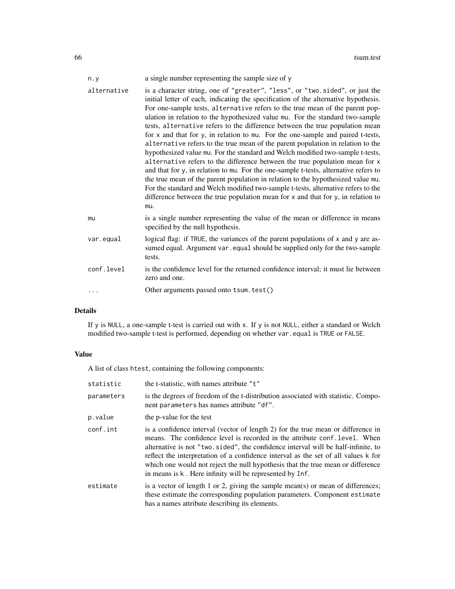| n.y         | a single number representing the sample size of y                                                                                                                                                                                                                                                                                                                                                                                                                                                                                                                                                                                                                                                                                                                                                                                                                                                                                                                                                                                                                                                                       |
|-------------|-------------------------------------------------------------------------------------------------------------------------------------------------------------------------------------------------------------------------------------------------------------------------------------------------------------------------------------------------------------------------------------------------------------------------------------------------------------------------------------------------------------------------------------------------------------------------------------------------------------------------------------------------------------------------------------------------------------------------------------------------------------------------------------------------------------------------------------------------------------------------------------------------------------------------------------------------------------------------------------------------------------------------------------------------------------------------------------------------------------------------|
| alternative | is a character string, one of "greater", "less", or "two.sided", or just the<br>initial letter of each, indicating the specification of the alternative hypothesis.<br>For one-sample tests, alternative refers to the true mean of the parent pop-<br>ulation in relation to the hypothesized value mu. For the standard two-sample<br>tests, alternative refers to the difference between the true population mean<br>for x and that for y, in relation to mu. For the one-sample and paired t-tests,<br>alternative refers to the true mean of the parent population in relation to the<br>hypothesized value mu. For the standard and Welch modified two-sample t-tests,<br>alternative refers to the difference between the true population mean for x<br>and that for y, in relation to mu. For the one-sample t-tests, alternative refers to<br>the true mean of the parent population in relation to the hypothesized value mu.<br>For the standard and Welch modified two-sample t-tests, alternative refers to the<br>difference between the true population mean for x and that for y, in relation to<br>mu. |
| mu          | is a single number representing the value of the mean or difference in means<br>specified by the null hypothesis.                                                                                                                                                                                                                                                                                                                                                                                                                                                                                                                                                                                                                                                                                                                                                                                                                                                                                                                                                                                                       |
| var.equal   | logical flag: if TRUE, the variances of the parent populations of x and y are as-<br>sumed equal. Argument var . equal should be supplied only for the two-sample<br>tests.                                                                                                                                                                                                                                                                                                                                                                                                                                                                                                                                                                                                                                                                                                                                                                                                                                                                                                                                             |
| conf.level  | is the confidence level for the returned confidence interval; it must lie between<br>zero and one.                                                                                                                                                                                                                                                                                                                                                                                                                                                                                                                                                                                                                                                                                                                                                                                                                                                                                                                                                                                                                      |
|             | Other arguments passed onto tsum. test()                                                                                                                                                                                                                                                                                                                                                                                                                                                                                                                                                                                                                                                                                                                                                                                                                                                                                                                                                                                                                                                                                |

# Details

If y is NULL, a one-sample t-test is carried out with x. If y is not NULL, either a standard or Welch modified two-sample t-test is performed, depending on whether var.equal is TRUE or FALSE.

# Value

A list of class htest, containing the following components:

| statistic  | the t-statistic, with names attribute "t"                                                                                                                                                                                                                                                                                                                                                                                                                                                |
|------------|------------------------------------------------------------------------------------------------------------------------------------------------------------------------------------------------------------------------------------------------------------------------------------------------------------------------------------------------------------------------------------------------------------------------------------------------------------------------------------------|
| parameters | is the degrees of freedom of the t-distribution associated with statistic. Compo-<br>nent parameters has names attribute "df".                                                                                                                                                                                                                                                                                                                                                           |
| p.value    | the p-value for the test                                                                                                                                                                                                                                                                                                                                                                                                                                                                 |
| conf.int   | is a confidence interval (vector of length 2) for the true mean or difference in<br>means. The confidence level is recorded in the attribute conf. level. When<br>alternative is not "two.sided", the confidence interval will be half-infinite, to<br>reflect the interpretation of a confidence interval as the set of all values k for<br>which one would not reject the null hypothesis that the true mean or difference<br>in means is k. Here infinity will be represented by Inf. |
| estimate   | is a vector of length 1 or 2, giving the sample mean(s) or mean of differences;<br>these estimate the corresponding population parameters. Component estimate<br>has a names attribute describing its elements.                                                                                                                                                                                                                                                                          |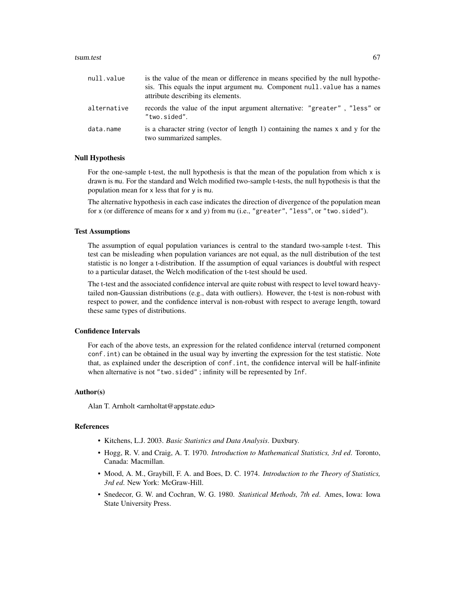### tsum.test 67

| null.value  | is the value of the mean or difference in means specified by the null hypothe-<br>sis. This equals the input argument mu. Component null value has a names<br>attribute describing its elements. |
|-------------|--------------------------------------------------------------------------------------------------------------------------------------------------------------------------------------------------|
| alternative | records the value of the input argument alternative: "greater", "less" or<br>"two.sided".                                                                                                        |
| data.name   | is a character string (vector of length 1) containing the names x and y for the<br>two summarized samples.                                                                                       |

### Null Hypothesis

For the one-sample t-test, the null hypothesis is that the mean of the population from which  $x$  is drawn is mu. For the standard and Welch modified two-sample t-tests, the null hypothesis is that the population mean for x less that for y is mu.

The alternative hypothesis in each case indicates the direction of divergence of the population mean for x (or difference of means for x and y) from mu (i.e., "greater", "less", or "two.sided").

### Test Assumptions

The assumption of equal population variances is central to the standard two-sample t-test. This test can be misleading when population variances are not equal, as the null distribution of the test statistic is no longer a t-distribution. If the assumption of equal variances is doubtful with respect to a particular dataset, the Welch modification of the t-test should be used.

The t-test and the associated confidence interval are quite robust with respect to level toward heavytailed non-Gaussian distributions (e.g., data with outliers). However, the t-test is non-robust with respect to power, and the confidence interval is non-robust with respect to average length, toward these same types of distributions.

## Confidence Intervals

For each of the above tests, an expression for the related confidence interval (returned component conf.int) can be obtained in the usual way by inverting the expression for the test statistic. Note that, as explained under the description of conf.int, the confidence interval will be half-infinite when alternative is not "two.sided"; infinity will be represented by Inf.

## Author(s)

Alan T. Arnholt <arnholtat@appstate.edu>

### References

- Kitchens, L.J. 2003. *Basic Statistics and Data Analysis*. Duxbury.
- Hogg, R. V. and Craig, A. T. 1970. *Introduction to Mathematical Statistics, 3rd ed*. Toronto, Canada: Macmillan.
- Mood, A. M., Graybill, F. A. and Boes, D. C. 1974. *Introduction to the Theory of Statistics, 3rd ed*. New York: McGraw-Hill.
- Snedecor, G. W. and Cochran, W. G. 1980. *Statistical Methods, 7th ed*. Ames, Iowa: Iowa State University Press.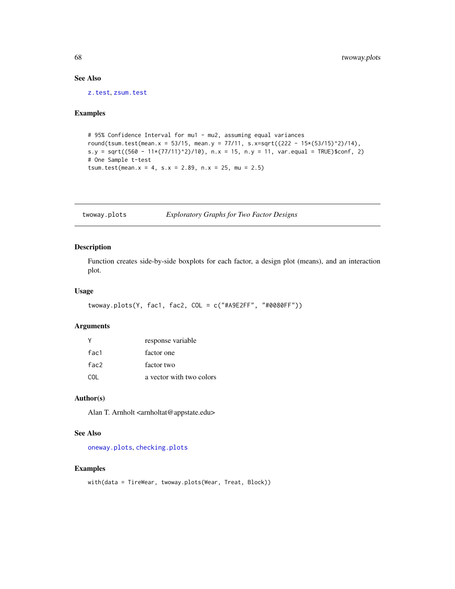## See Also

[z.test](#page-77-0), [zsum.test](#page-80-0)

## Examples

```
# 95% Confidence Interval for mu1 - mu2, assuming equal variances
round(tsum.test(mean.x = 53/15, mean.y = 77/11, s.x=sqrt((222 - 15*(53/15)^2)/14),
s.y = sqrt((560 - 11*(77/11)^2)/10), n.x = 15, n.y = 11, var.equal = TRUE)$conf, 2)
# One Sample t-test
tsum.test(mean.x = 4, s.x = 2.89, n.x = 25, mu = 2.5)
```
<span id="page-67-0"></span>twoway.plots *Exploratory Graphs for Two Factor Designs*

# Description

Function creates side-by-side boxplots for each factor, a design plot (means), and an interaction plot.

## Usage

```
twoway.plots(Y, fac1, fac2, COL = c("#A9E2FF", "#0080FF"))
```
### Arguments

|      | response variable        |
|------|--------------------------|
| fac1 | factor one               |
| fac2 | factor two               |
| COL. | a vector with two colors |

## Author(s)

Alan T. Arnholt <arnholtat@appstate.edu>

# See Also

[oneway.plots](#page-40-0), [checking.plots](#page-11-0)

```
with(data = TireWear, twoway.plots(Wear, Treat, Block))
```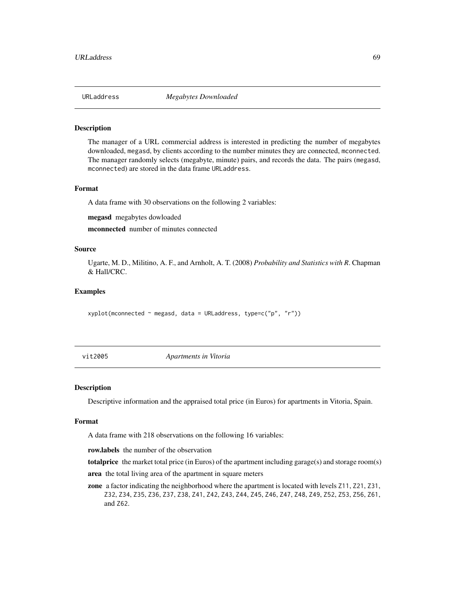The manager of a URL commercial address is interested in predicting the number of megabytes downloaded, megasd, by clients according to the number minutes they are connected, mconnected. The manager randomly selects (megabyte, minute) pairs, and records the data. The pairs (megasd, mconnected) are stored in the data frame URLaddress.

### Format

A data frame with 30 observations on the following 2 variables:

megasd megabytes dowloaded

mconnected number of minutes connected

## Source

Ugarte, M. D., Militino, A. F., and Arnholt, A. T. (2008) *Probability and Statistics with R*. Chapman & Hall/CRC.

## Examples

 $xyplot(mconnected \sim megasd, data = URLaddress, type=c("p", "r"))$ 

vit2005 *Apartments in Vitoria*

### Description

Descriptive information and the appraised total price (in Euros) for apartments in Vitoria, Spain.

### Format

A data frame with 218 observations on the following 16 variables:

row.labels the number of the observation

totalprice the market total price (in Euros) of the apartment including garage(s) and storage room(s) area the total living area of the apartment in square meters

zone a factor indicating the neighborhood where the apartment is located with levels  $Z11$ ,  $Z21$ ,  $Z31$ , Z32, Z34, Z35, Z36, Z37, Z38, Z41, Z42, Z43, Z44, Z45, Z46, Z47, Z48, Z49, Z52, Z53, Z56, Z61, and Z62.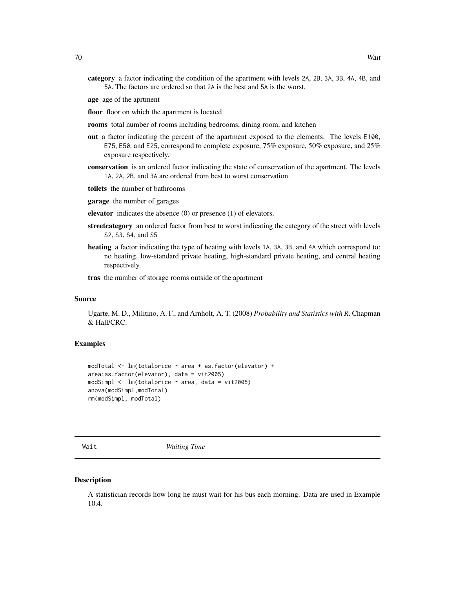- category a factor indicating the condition of the apartment with levels 2A, 2B, 3A, 3B, 4A, 4B, and 5A. The factors are ordered so that 2A is the best and 5A is the worst.
- age age of the aprtment
- floor floor on which the apartment is located
- rooms total number of rooms including bedrooms, dining room, and kitchen
- out a factor indicating the percent of the apartment exposed to the elements. The levels E100, E75, E50, and E25, correspond to complete exposure, 75% exposure, 50% exposure, and 25% exposure respectively.
- conservation is an ordered factor indicating the state of conservation of the apartment. The levels 1A, 2A, 2B, and 3A are ordered from best to worst conservation.
- toilets the number of bathrooms
- garage the number of garages
- elevator indicates the absence (0) or presence (1) of elevators.
- streetcategory an ordered factor from best to worst indicating the category of the street with levels S2, S3, S4, and S5
- heating a factor indicating the type of heating with levels 1A, 3A, 3B, and 4A which correspond to: no heating, low-standard private heating, high-standard private heating, and central heating respectively.

tras the number of storage rooms outside of the apartment

# Source

Ugarte, M. D., Militino, A. F., and Arnholt, A. T. (2008) *Probability and Statistics with R*. Chapman & Hall/CRC.

## Examples

```
modTotal <- lm(totalprice ~ area + as.factor(elevator) +
area:as.factor(elevator), data = vit2005)
modSimpl <- lm(totalprice ~ area, data = vit2005)
anova(modSimpl,modTotal)
rm(modSimpl, modTotal)
```
Wait *Waiting Time*

### **Description**

A statistician records how long he must wait for his bus each morning. Data are used in Example 10.4.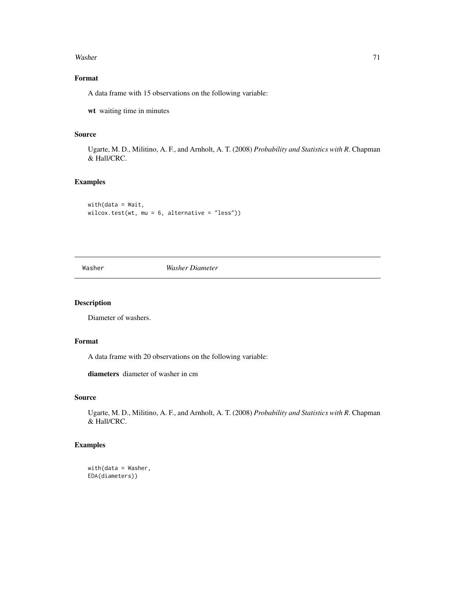### Washer 71

# Format

A data frame with 15 observations on the following variable:

wt waiting time in minutes

# Source

Ugarte, M. D., Militino, A. F., and Arnholt, A. T. (2008) *Probability and Statistics with R*. Chapman & Hall/CRC.

# Examples

with(data = Wait, wilcox.test(wt, mu = 6, alternative = "less"))

Washer *Washer Diameter*

# Description

Diameter of washers.

# Format

A data frame with 20 observations on the following variable:

diameters diameter of washer in cm

# Source

Ugarte, M. D., Militino, A. F., and Arnholt, A. T. (2008) *Probability and Statistics with R*. Chapman & Hall/CRC.

```
with(data = Washer,
EDA(diameters))
```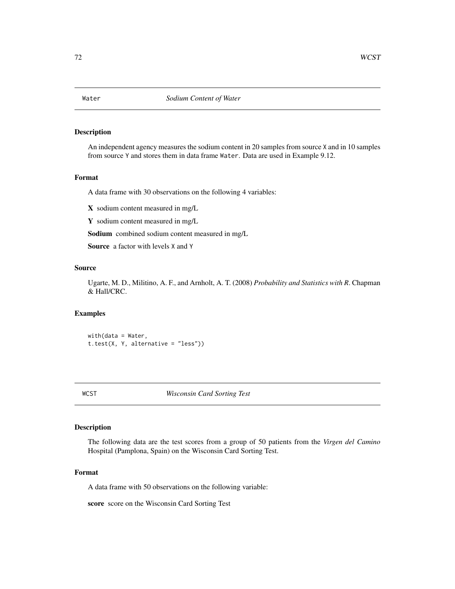An independent agency measures the sodium content in 20 samples from source X and in 10 samples from source Y and stores them in data frame Water. Data are used in Example 9.12.

## Format

A data frame with 30 observations on the following 4 variables:

X sodium content measured in mg/L

Y sodium content measured in mg/L

Sodium combined sodium content measured in mg/L

Source a factor with levels X and Y

## Source

Ugarte, M. D., Militino, A. F., and Arnholt, A. T. (2008) *Probability and Statistics with R*. Chapman & Hall/CRC.

## Examples

with(data = Water, t.test(X, Y, alternative = "less"))

WCST *Wisconsin Card Sorting Test*

## Description

The following data are the test scores from a group of 50 patients from the *Virgen del Camino* Hospital (Pamplona, Spain) on the Wisconsin Card Sorting Test.

### Format

A data frame with 50 observations on the following variable:

score score on the Wisconsin Card Sorting Test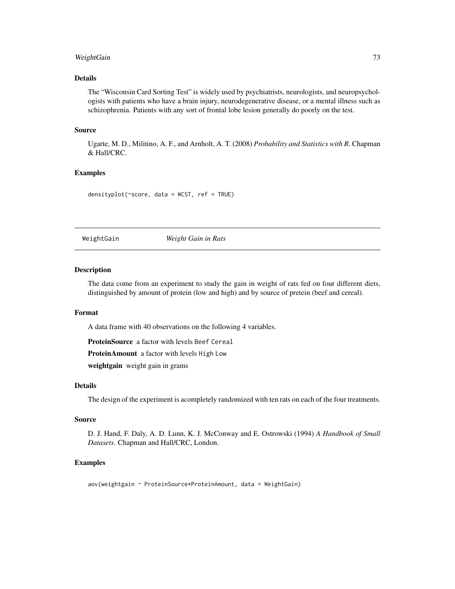# <span id="page-72-0"></span>WeightGain 73

# Details

The "Wisconsin Card Sorting Test" is widely used by psychiatrists, neurologists, and neuropsychologists with patients who have a brain injury, neurodegenerative disease, or a mental illness such as schizophrenia. Patients with any sort of frontal lobe lesion generally do poorly on the test.

#### Source

Ugarte, M. D., Militino, A. F., and Arnholt, A. T. (2008) *Probability and Statistics with R*. Chapman & Hall/CRC.

#### Examples

```
densityplot(~score, data = WCST, ref = TRUE)
```
WeightGain *Weight Gain in Rats*

# Description

The data come from an experiment to study the gain in weight of rats fed on four different diets, distinguished by amount of protein (low and high) and by source of pretein (beef and cereal).

#### Format

A data frame with 40 observations on the following 4 variables.

ProteinSource a factor with levels Beef Cereal

ProteinAmount a factor with levels High Low

weightgain weight gain in grams

# Details

The design of the experiment is acompletely randomized with ten rats on each of the four treatments.

#### Source

D. J. Hand, F. Daly, A. D. Lunn, K. J. McConway and E. Ostrowski (1994) *A Handbook of Small Datasets*. Chapman and Hall/CRC, London.

#### Examples

aov(weightgain ~ ProteinSource\*ProteinAmount, data = WeightGain)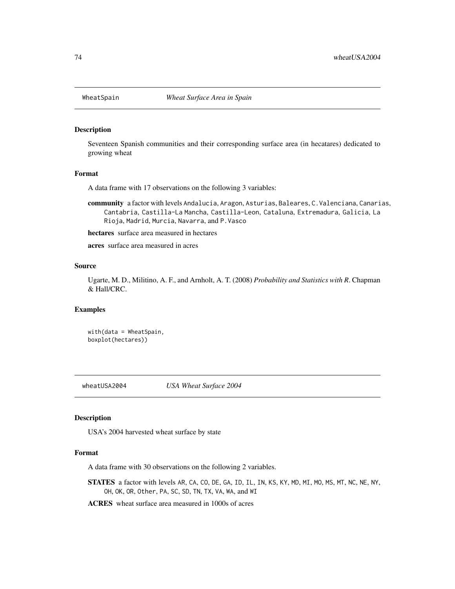<span id="page-73-0"></span>

#### Description

Seventeen Spanish communities and their corresponding surface area (in hecatares) dedicated to growing wheat

#### Format

A data frame with 17 observations on the following 3 variables:

community a factor with levels Andalucia, Aragon, Asturias, Baleares, C.Valenciana, Canarias, Cantabria, Castilla-La Mancha, Castilla-Leon, Cataluna, Extremadura, Galicia, La Rioja, Madrid, Murcia, Navarra, and P.Vasco

hectares surface area measured in hectares

acres surface area measured in acres

# Source

Ugarte, M. D., Militino, A. F., and Arnholt, A. T. (2008) *Probability and Statistics with R*. Chapman & Hall/CRC.

#### Examples

with(data = WheatSpain, boxplot(hectares))

wheatUSA2004 *USA Wheat Surface 2004*

#### Description

USA's 2004 harvested wheat surface by state

#### Format

A data frame with 30 observations on the following 2 variables.

STATES a factor with levels AR, CA, CO, DE, GA, ID, IL, IN, KS, KY, MD, MI, MO, MS, MT, NC, NE, NY, OH, OK, OR, Other, PA, SC, SD, TN, TX, VA, WA, and WI

ACRES wheat surface area measured in 1000s of acres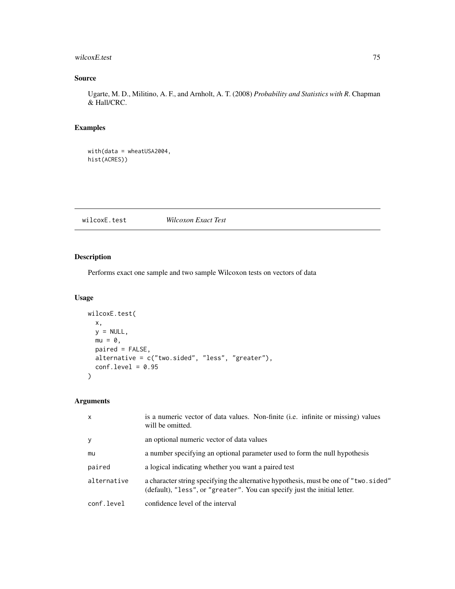# <span id="page-74-0"></span>wilcoxE.test 75

# Source

Ugarte, M. D., Militino, A. F., and Arnholt, A. T. (2008) *Probability and Statistics with R*. Chapman & Hall/CRC.

# Examples

```
with(data = wheatUSA2004,
hist(ACRES))
```
wilcoxE.test *Wilcoxon Exact Test*

# Description

Performs exact one sample and two sample Wilcoxon tests on vectors of data

# Usage

```
wilcoxE.test(
 x,
 y = NULL,mu = 0,
 paired = FALSE,
 alternative = c("two.sided", "less", "greater"),
 conf. level = 0.95)
```
# Arguments

| $\mathsf{x}$ | is a numeric vector of data values. Non-finite (i.e. infinite or missing) values<br>will be omitted.                                                              |
|--------------|-------------------------------------------------------------------------------------------------------------------------------------------------------------------|
| y            | an optional numeric vector of data values                                                                                                                         |
| mu           | a number specifying an optional parameter used to form the null hypothesis                                                                                        |
| paired       | a logical indicating whether you want a paired test                                                                                                               |
| alternative  | a character string specifying the alternative hypothesis, must be one of "two.sided"<br>(default), "less", or "greater". You can specify just the initial letter. |
| conf.level   | confidence level of the interval                                                                                                                                  |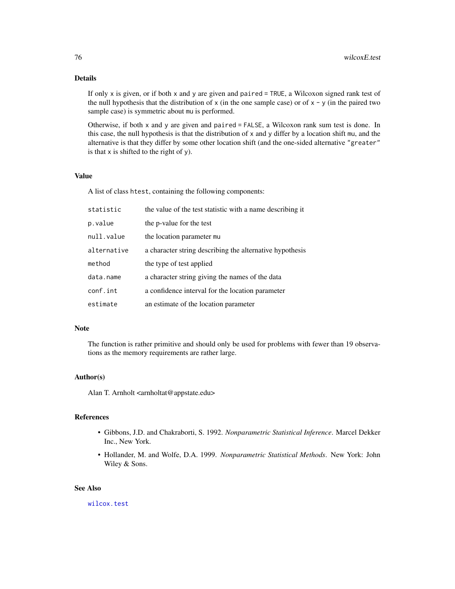# <span id="page-75-0"></span>Details

If only x is given, or if both x and y are given and paired = TRUE, a Wilcoxon signed rank test of the null hypothesis that the distribution of  $x$  (in the one sample case) or of  $x - y$  (in the paired two sample case) is symmetric about mu is performed.

Otherwise, if both x and y are given and paired = FALSE, a Wilcoxon rank sum test is done. In this case, the null hypothesis is that the distribution of x and y differ by a location shift mu, and the alternative is that they differ by some other location shift (and the one-sided alternative "greater" is that  $x$  is shifted to the right of  $y$ ).

# Value

A list of class htest, containing the following components:

| statistic   | the value of the test statistic with a name describing it |
|-------------|-----------------------------------------------------------|
| p.value     | the p-value for the test                                  |
| null.value  | the location parameter mu                                 |
| alternative | a character string describing the alternative hypothesis  |
| method      | the type of test applied                                  |
| data.name   | a character string giving the names of the data           |
| conf.int    | a confidence interval for the location parameter          |
| estimate    | an estimate of the location parameter                     |

# Note

The function is rather primitive and should only be used for problems with fewer than 19 observations as the memory requirements are rather large.

# Author(s)

Alan T. Arnholt <arnholtat@appstate.edu>

# References

- Gibbons, J.D. and Chakraborti, S. 1992. *Nonparametric Statistical Inference*. Marcel Dekker Inc., New York.
- Hollander, M. and Wolfe, D.A. 1999. *Nonparametric Statistical Methods*. New York: John Wiley & Sons.

# See Also

[wilcox.test](#page-0-0)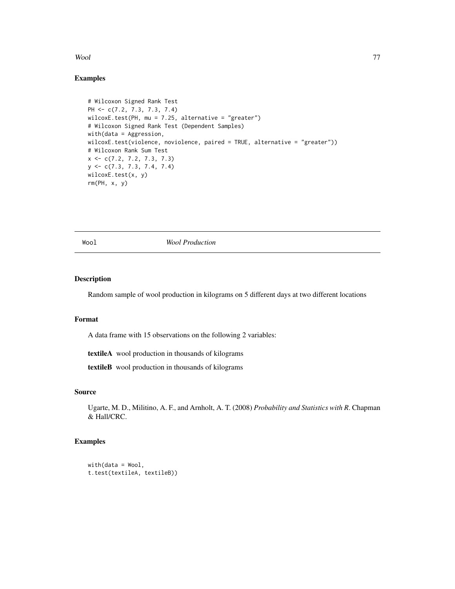#### <span id="page-76-0"></span>Wool 77

# Examples

```
# Wilcoxon Signed Rank Test
PH <- c(7.2, 7.3, 7.3, 7.4)
wilcoxE.test(PH, mu = 7.25, alternative = "greater")
# Wilcoxon Signed Rank Test (Dependent Samples)
with(data = Aggression,
wilcoxE.test(violence, noviolence, paired = TRUE, alternative = "greater"))
# Wilcoxon Rank Sum Test
x \leftarrow c(7.2, 7.2, 7.3, 7.3)y <- c(7.3, 7.3, 7.4, 7.4)
wilcoxE.test(x, y)
rm(PH, x, y)
```
Wool *Wool Production*

### Description

Random sample of wool production in kilograms on 5 different days at two different locations

# Format

A data frame with 15 observations on the following 2 variables:

textileA wool production in thousands of kilograms

textileB wool production in thousands of kilograms

#### Source

Ugarte, M. D., Militino, A. F., and Arnholt, A. T. (2008) *Probability and Statistics with R*. Chapman & Hall/CRC.

# Examples

```
with(data = Wood,t.test(textileA, textileB))
```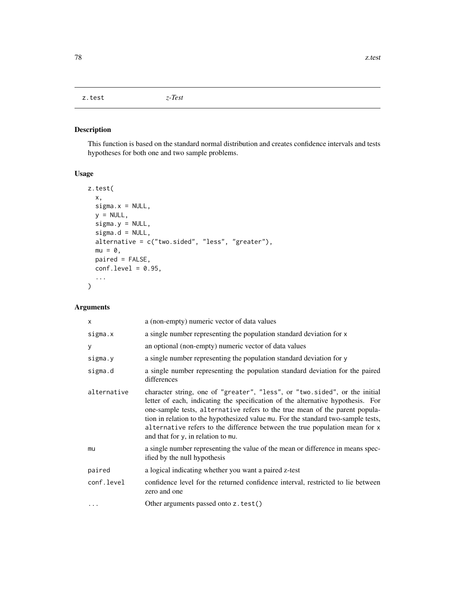<span id="page-77-1"></span><span id="page-77-0"></span>z.test *z-Test*

# Description

This function is based on the standard normal distribution and creates confidence intervals and tests hypotheses for both one and two sample problems.

# Usage

```
z.test(
 x,
 signa.x = NULL,y = NULL,sigma.y = NULL,
 sigma.d = NULL,alternative = c("two.sided", "less", "greater"),
 mu = 0,
 paired = FALSE,
 conf. level = 0.95,...
)
```
# Arguments

| $\mathsf{x}$ | a (non-empty) numeric vector of data values                                                                                                                                                                                                                                                                                                                                                                                                            |
|--------------|--------------------------------------------------------------------------------------------------------------------------------------------------------------------------------------------------------------------------------------------------------------------------------------------------------------------------------------------------------------------------------------------------------------------------------------------------------|
| sigma.x      | a single number representing the population standard deviation for x                                                                                                                                                                                                                                                                                                                                                                                   |
| У            | an optional (non-empty) numeric vector of data values                                                                                                                                                                                                                                                                                                                                                                                                  |
| sigma.y      | a single number representing the population standard deviation for y                                                                                                                                                                                                                                                                                                                                                                                   |
| sigma.d      | a single number representing the population standard deviation for the paired<br>differences                                                                                                                                                                                                                                                                                                                                                           |
| alternative  | character string, one of "greater", "less", or "two.sided", or the initial<br>letter of each, indicating the specification of the alternative hypothesis. For<br>one-sample tests, alternative refers to the true mean of the parent popula-<br>tion in relation to the hypothesized value mu. For the standard two-sample tests,<br>alternative refers to the difference between the true population mean for x<br>and that for y, in relation to mu. |
| mu           | a single number representing the value of the mean or difference in means spec-<br>ified by the null hypothesis                                                                                                                                                                                                                                                                                                                                        |
| paired       | a logical indicating whether you want a paired z-test                                                                                                                                                                                                                                                                                                                                                                                                  |
| conf.level   | confidence level for the returned confidence interval, restricted to lie between<br>zero and one                                                                                                                                                                                                                                                                                                                                                       |
| $\cdots$     | Other arguments passed onto z.test()                                                                                                                                                                                                                                                                                                                                                                                                                   |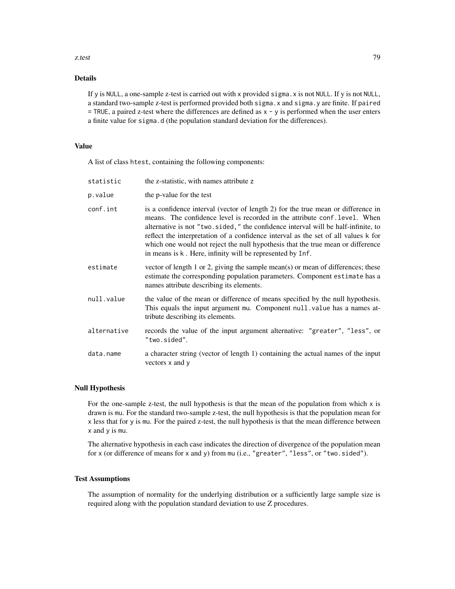#### z.test 79

# Details

If y is NULL, a one-sample z-test is carried out with x provided sigma.x is not NULL. If y is not NULL, a standard two-sample z-test is performed provided both sigma.x and sigma.y are finite. If paired  $=$  TRUE, a paired z-test where the differences are defined as  $x - y$  is performed when the user enters a finite value for sigma.d (the population standard deviation for the differences).

# Value

A list of class htest, containing the following components:

| statistic   | the z-statistic, with names attribute z                                                                                                                                                                                                                                                                                                                                                                                                                                                   |
|-------------|-------------------------------------------------------------------------------------------------------------------------------------------------------------------------------------------------------------------------------------------------------------------------------------------------------------------------------------------------------------------------------------------------------------------------------------------------------------------------------------------|
| p.value     | the p-value for the test                                                                                                                                                                                                                                                                                                                                                                                                                                                                  |
| conf.int    | is a confidence interval (vector of length 2) for the true mean or difference in<br>means. The confidence level is recorded in the attribute conf. level. When<br>alternative is not "two.sided," the confidence interval will be half-infinite, to<br>reflect the interpretation of a confidence interval as the set of all values k for<br>which one would not reject the null hypothesis that the true mean or difference<br>in means is k. Here, infinity will be represented by Inf. |
| estimate    | vector of length 1 or 2, giving the sample mean(s) or mean of differences; these<br>estimate the corresponding population parameters. Component estimate has a<br>names attribute describing its elements.                                                                                                                                                                                                                                                                                |
| null.value  | the value of the mean or difference of means specified by the null hypothesis.<br>This equals the input argument mu. Component null. value has a names at-<br>tribute describing its elements.                                                                                                                                                                                                                                                                                            |
| alternative | records the value of the input argument alternative: "greater", "less", or<br>"two.sided".                                                                                                                                                                                                                                                                                                                                                                                                |
| data.name   | a character string (vector of length 1) containing the actual names of the input<br>vectors x and y                                                                                                                                                                                                                                                                                                                                                                                       |

# Null Hypothesis

For the one-sample z-test, the null hypothesis is that the mean of the population from which  $x$  is drawn is mu. For the standard two-sample z-test, the null hypothesis is that the population mean for x less that for y is mu. For the paired z-test, the null hypothesis is that the mean difference between x and y is mu.

The alternative hypothesis in each case indicates the direction of divergence of the population mean for x (or difference of means for x and y) from mu (i.e., "greater", "less", or "two.sided").

#### Test Assumptions

The assumption of normality for the underlying distribution or a sufficiently large sample size is required along with the population standard deviation to use Z procedures.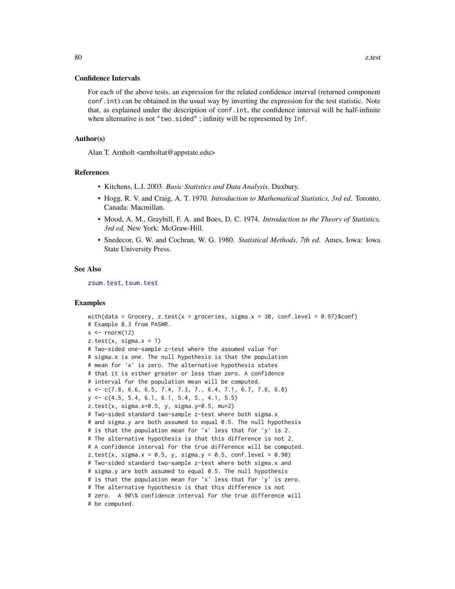#### <span id="page-79-0"></span>Confidence Intervals

For each of the above tests, an expression for the related confidence interval (returned component conf.int) can be obtained in the usual way by inverting the expression for the test statistic. Note that, as explained under the description of conf.int, the confidence interval will be half-infinite when alternative is not "two.sided"; infinity will be represented by Inf.

#### Author(s)

Alan T. Arnholt <arnholtat@appstate.edu>

#### References

- Kitchens, L.J. 2003. *Basic Statistics and Data Analysis*. Duxbury.
- Hogg, R. V. and Craig, A. T. 1970. *Introduction to Mathematical Statistics, 3rd ed*. Toronto, Canada: Macmillan.
- Mood, A. M., Graybill, F. A. and Boes, D. C. 1974. *Introduction to the Theory of Statistics, 3rd ed*. New York: McGraw-Hill.
- Snedecor, G. W. and Cochran, W. G. 1980. *Statistical Methods, 7th ed*. Ames, Iowa: Iowa State University Press.

#### See Also

[zsum.test](#page-80-0), [tsum.test](#page-64-0)

#### Examples

```
with(data = Grocery, z.test(x = groceries, sigma.x = 30, conf.level = 0.97)$conf)
# Example 8.3 from PASWR.
x \le- rnorm(12)
z.test(x, sigma.x = 1)# Two-sided one-sample z-test where the assumed value for
# sigma.x is one. The null hypothesis is that the population
# mean for 'x' is zero. The alternative hypothesis states
# that it is either greater or less than zero. A confidence
# interval for the population mean will be computed.
x <- c(7.8, 6.6, 6.5, 7.4, 7.3, 7., 6.4, 7.1, 6.7, 7.6, 6.8)
y \leq -c(4.5, 5.4, 6.1, 6.1, 5.4, 5., 4.1, 5.5)z.test(x, sigma.x=0.5, y, sigma.y=0.5, mu=2)
# Two-sided standard two-sample z-test where both sigma.x
# and sigma.y are both assumed to equal 0.5. The null hypothesis
# is that the population mean for 'x' less that for 'y' is 2.
# The alternative hypothesis is that this difference is not 2.
# A confidence interval for the true difference will be computed.
z.test(x, sigma.x = 0.5, y, sigma.y = 0.5, conf. level = 0.90)# Two-sided standard two-sample z-test where both sigma.x and
# sigma.y are both assumed to equal 0.5. The null hypothesis
# is that the population mean for 'x' less that for 'y' is zero.
# The alternative hypothesis is that this difference is not
# zero. A 90\% confidence interval for the true difference will
# be computed.
```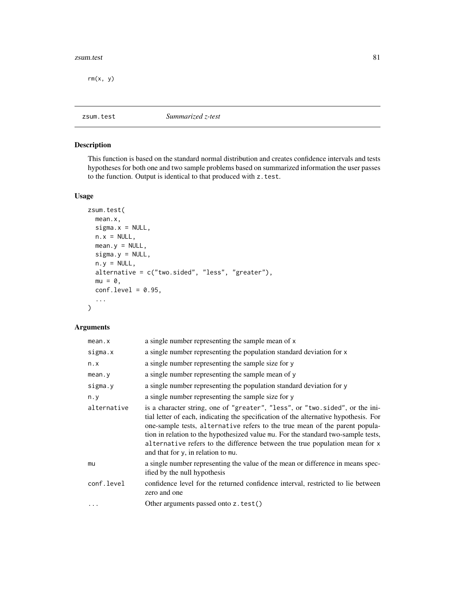#### <span id="page-80-1"></span>zsum.test 81

 $rm(x, y)$ 

<span id="page-80-0"></span>zsum.test *Summarized z-test*

# Description

This function is based on the standard normal distribution and creates confidence intervals and tests hypotheses for both one and two sample problems based on summarized information the user passes to the function. Output is identical to that produced with z.test.

# Usage

```
zsum.test(
 mean.x,
  signa.x = NULL,n.x = NULL,mean.y = NULL,signa.y = NULL,n.y = NULL,alternative = c("two.sided", "less", "greater"),
 mu = 0,
  conf.level = 0.95,
  ...
\mathcal{L}
```
# Arguments

| mean.x      | a single number representing the sample mean of x                                                                                                                                                                                                                                                                                                                                                                                                             |
|-------------|---------------------------------------------------------------------------------------------------------------------------------------------------------------------------------------------------------------------------------------------------------------------------------------------------------------------------------------------------------------------------------------------------------------------------------------------------------------|
| sigma.x     | a single number representing the population standard deviation for x                                                                                                                                                                                                                                                                                                                                                                                          |
| n.x         | a single number representing the sample size for y                                                                                                                                                                                                                                                                                                                                                                                                            |
| mean.y      | a single number representing the sample mean of y                                                                                                                                                                                                                                                                                                                                                                                                             |
| sigma.y     | a single number representing the population standard deviation for y                                                                                                                                                                                                                                                                                                                                                                                          |
| n.y         | a single number representing the sample size for y                                                                                                                                                                                                                                                                                                                                                                                                            |
| alternative | is a character string, one of "greater", "less", or "two.sided", or the ini-<br>tial letter of each, indicating the specification of the alternative hypothesis. For<br>one-sample tests, alternative refers to the true mean of the parent popula-<br>tion in relation to the hypothesized value mu. For the standard two-sample tests,<br>alternative refers to the difference between the true population mean for x<br>and that for y, in relation to mu. |
| mu          | a single number representing the value of the mean or difference in means spec-<br>ified by the null hypothesis                                                                                                                                                                                                                                                                                                                                               |
| conf.level  | confidence level for the returned confidence interval, restricted to lie between<br>zero and one                                                                                                                                                                                                                                                                                                                                                              |
| .           | Other arguments passed onto z.test()                                                                                                                                                                                                                                                                                                                                                                                                                          |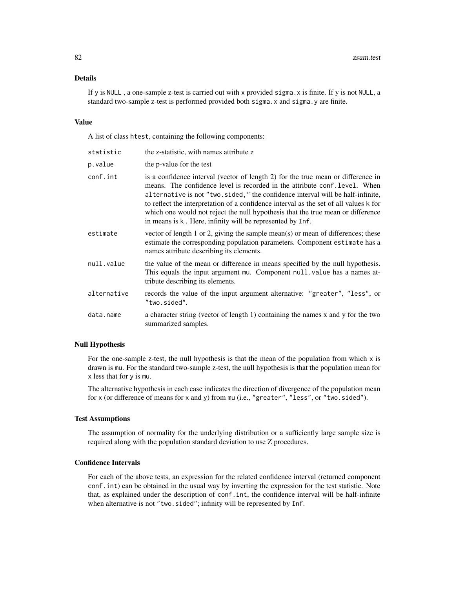### Details

If y is NULL , a one-sample z-test is carried out with x provided sigma.x is finite. If y is not NULL, a standard two-sample z-test is performed provided both sigma.x and sigma.y are finite.

#### Value

A list of class htest, containing the following components:

| statistic   | the z-statistic, with names attribute z                                                                                                                                                                                                                                                                                                                                                                                                                                                   |
|-------------|-------------------------------------------------------------------------------------------------------------------------------------------------------------------------------------------------------------------------------------------------------------------------------------------------------------------------------------------------------------------------------------------------------------------------------------------------------------------------------------------|
| p.value     | the p-value for the test                                                                                                                                                                                                                                                                                                                                                                                                                                                                  |
| conf.int    | is a confidence interval (vector of length 2) for the true mean or difference in<br>means. The confidence level is recorded in the attribute conf. level. When<br>alternative is not "two.sided," the confidence interval will be half-infinite,<br>to reflect the interpretation of a confidence interval as the set of all values k for<br>which one would not reject the null hypothesis that the true mean or difference<br>in means is k. Here, infinity will be represented by Inf. |
| estimate    | vector of length 1 or 2, giving the sample mean(s) or mean of differences; these<br>estimate the corresponding population parameters. Component estimate has a<br>names attribute describing its elements.                                                                                                                                                                                                                                                                                |
| null.value  | the value of the mean or difference in means specified by the null hypothesis.<br>This equals the input argument mu. Component null, value has a names at-<br>tribute describing its elements.                                                                                                                                                                                                                                                                                            |
| alternative | records the value of the input argument alternative: "greater", "less", or<br>"two.sided".                                                                                                                                                                                                                                                                                                                                                                                                |
| data.name   | a character string (vector of length 1) containing the names x and y for the two<br>summarized samples.                                                                                                                                                                                                                                                                                                                                                                                   |
|             |                                                                                                                                                                                                                                                                                                                                                                                                                                                                                           |

#### Null Hypothesis

For the one-sample z-test, the null hypothesis is that the mean of the population from which  $x$  is drawn is mu. For the standard two-sample z-test, the null hypothesis is that the population mean for x less that for y is mu.

The alternative hypothesis in each case indicates the direction of divergence of the population mean for x (or difference of means for x and y) from mu (i.e., "greater", "less", or "two.sided").

#### Test Assumptions

The assumption of normality for the underlying distribution or a sufficiently large sample size is required along with the population standard deviation to use Z procedures.

# Confidence Intervals

For each of the above tests, an expression for the related confidence interval (returned component conf.int) can be obtained in the usual way by inverting the expression for the test statistic. Note that, as explained under the description of conf.int, the confidence interval will be half-infinite when alternative is not "two.sided"; infinity will be represented by Inf.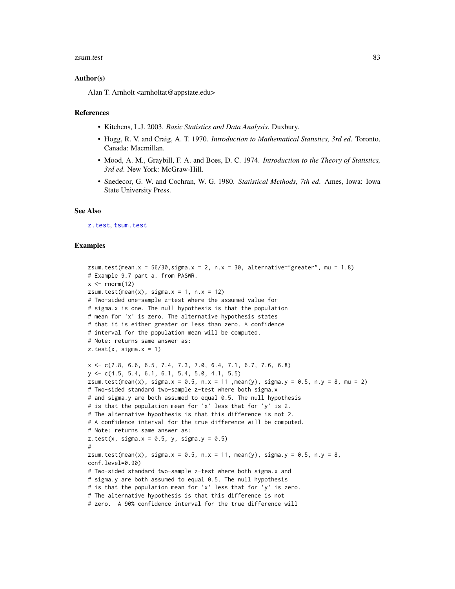#### <span id="page-82-0"></span>zsum.test 83

#### Author(s)

Alan T. Arnholt <arnholtat@appstate.edu>

#### References

- Kitchens, L.J. 2003. *Basic Statistics and Data Analysis*. Duxbury.
- Hogg, R. V. and Craig, A. T. 1970. *Introduction to Mathematical Statistics, 3rd ed*. Toronto, Canada: Macmillan.
- Mood, A. M., Graybill, F. A. and Boes, D. C. 1974. *Introduction to the Theory of Statistics, 3rd ed*. New York: McGraw-Hill.
- Snedecor, G. W. and Cochran, W. G. 1980. *Statistical Methods, 7th ed*. Ames, Iowa: Iowa State University Press.

#### See Also

[z.test](#page-77-0), [tsum.test](#page-64-0)

#### Examples

```
zsum.test(mean.x = 56/30, sigma.x = 2, n.x = 30, alternative="greater", mu = 1.8)
# Example 9.7 part a. from PASWR.
x \le- rnorm(12)
zsum.test(mean(x), sigma.x = 1, n.x = 12)
# Two-sided one-sample z-test where the assumed value for
# sigma.x is one. The null hypothesis is that the population
# mean for 'x' is zero. The alternative hypothesis states
# that it is either greater or less than zero. A confidence
# interval for the population mean will be computed.
# Note: returns same answer as:
z.test(x, sigma.x = 1)x <- c(7.8, 6.6, 6.5, 7.4, 7.3, 7.0, 6.4, 7.1, 6.7, 7.6, 6.8)
y <- c(4.5, 5.4, 6.1, 6.1, 5.4, 5.0, 4.1, 5.5)
zsum.test(mean(x), sigma.x = 0.5, n.x = 11 ,mean(y), sigma.y = 0.5, n.y = 8, mu = 2)
# Two-sided standard two-sample z-test where both sigma.x
# and sigma.y are both assumed to equal 0.5. The null hypothesis
# is that the population mean for 'x' less that for 'y' is 2.
# The alternative hypothesis is that this difference is not 2.
# A confidence interval for the true difference will be computed.
# Note: returns same answer as:
z.test(x, sigma.x = 0.5, y, sigma.y = 0.5)
#
zsum.test(mean(x), sigma.x = 0.5, n.x = 11, mean(y), sigma.y = 0.5, n.y = 8,
conf.level=0.90)
# Two-sided standard two-sample z-test where both sigma.x and
# sigma.y are both assumed to equal 0.5. The null hypothesis
# is that the population mean for 'x' less that for 'y' is zero.
# The alternative hypothesis is that this difference is not
# zero. A 90% confidence interval for the true difference will
```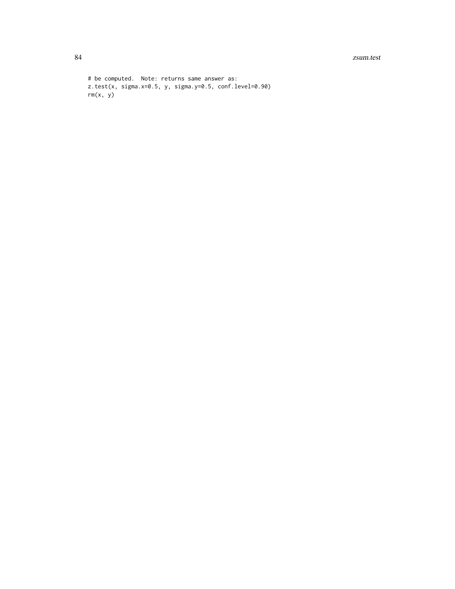84 zsum.test

```
# be computed. Note: returns same answer as:
z.test(x, sigma.x=0.5, y, sigma.y=0.5, conf.level=0.90)
rm(x, y)
```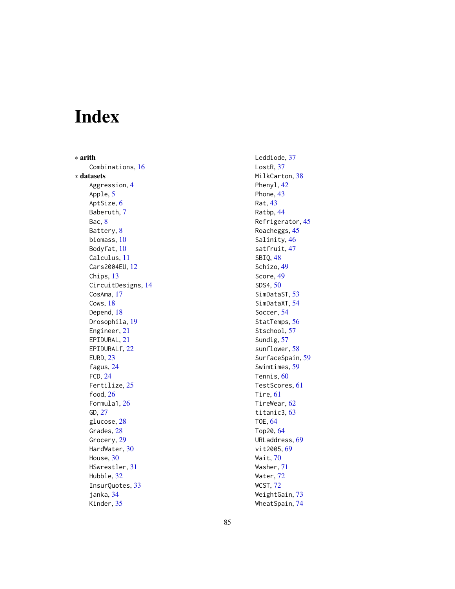# Index

∗ arith Combinations , [16](#page-15-0) ∗ datasets Aggression , [4](#page-3-0) Apple, [5](#page-4-0) AptSize, [6](#page-5-0) Baberuth , [7](#page-6-0) Bac, [8](#page-7-0) Battery, [8](#page-7-0) biomass , [10](#page-9-0) Bodyfat, [10](#page-9-0) Calculus , [11](#page-10-0) Cars2004EU , [12](#page-11-0) Chips, [13](#page-12-0) CircuitDesigns , [14](#page-13-0) CosAma , [17](#page-16-0) Cows, [18](#page-17-0) Depend, [18](#page-17-0) Drosophila, [19](#page-18-0) Engineer , [21](#page-20-0) EPIDURAL, [21](#page-20-0) EPIDURALf , [22](#page-21-0) EURD , [23](#page-22-0) fagus , [24](#page-23-0) FCD , [24](#page-23-0) Fertilize , [25](#page-24-0) food , [26](#page-25-0) Formula1 , [26](#page-25-0) GD , [27](#page-26-0) glucose, [28](#page-27-0) Grades, [28](#page-27-0) Grocery, [29](#page-28-0) HardWater , [30](#page-29-0) House, [30](#page-29-0) HSwrestler , [31](#page-30-0) Hubble, [32](#page-31-0) InsurQuotes , [33](#page-32-0) janka , [34](#page-33-0) Kinder , [35](#page-34-0)

Leddiode, [37](#page-36-0) LostR, [37](#page-36-0) MilkCarton, [38](#page-37-0) Phenyl, [42](#page-41-0) Phone, [43](#page-42-0) Rat , [43](#page-42-0) Ratbp , [44](#page-43-0) Refrigerator , [45](#page-44-0) Roacheggs, [45](#page-44-0) Salinity, [46](#page-45-0) satfruit, [47](#page-46-0) SBIQ , [48](#page-47-0) Schizo, [49](#page-48-0) Score , [49](#page-48-0) SDS4 , [50](#page-49-0) SimDataST, [53](#page-52-0) SimDataXT, [54](#page-53-0) Soccer , [54](#page-53-0) StatTemps, [56](#page-55-0) Stschool, [57](#page-56-0) Sundig, [57](#page-56-0) sunflower, [58](#page-57-0) SurfaceSpain , [59](#page-58-0) Swimtimes , [59](#page-58-0) Tennis, [60](#page-59-0) TestScores , [61](#page-60-0) Tire, [61](#page-60-0) TireWear , [62](#page-61-0) titanic3 , [63](#page-62-0) TOE , [64](#page-63-0) Top20, [64](#page-63-0) URLaddress , [69](#page-68-0) vit2005, <mark>6</mark>9 Wait , [70](#page-69-0) Washer , [71](#page-70-0) Water , [72](#page-71-0) WCST , [72](#page-71-0) WeightGain, [73](#page-72-0)

WheatSpain , [74](#page-73-0)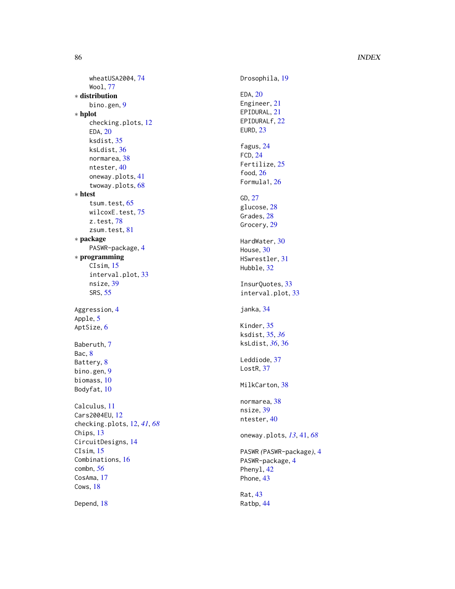# 86 INDEX

```
wheatUSA2004
, 74
   Wool
, 77
∗ distribution
   bino.gen
,
9
∗ hplot
   checking.plots
, 12
   EDA
, 20
   ksdist
, 35
   ksLdist
, 36
   normarea
, 38
   ntester
, 40
   oneway.plots
, 41
   twoway.plots
, 68
∗ htest
   65
   75</mark>
   z.test
, 78
   81
∗ package
   4
∗ programming
   15
   33
   nsize
, 39
   SRS
, 55
4
5
6
Baberuth
,
7
8
8
bino.gen
,
9
biomass
, 10
10
Calculus
, 11
Cars2004EU
, 12
checking.plots
, 12
, 41
, 68
13
CircuitDesigns
, 14
15
Combinations
, 16
combn
, 56
17
18
18
```
Drosophila, <mark>[19](#page-18-0)</mark> EDA, [20](#page-19-0) Engineer , [21](#page-20-0) EPIDURAL , [21](#page-20-0) EPIDURALf , [22](#page-21-0) EURD , [23](#page-22-0) fagus , [24](#page-23-0) FCD , [24](#page-23-0) Fertilize , [25](#page-24-0) food , [26](#page-25-0) Formula1 , [26](#page-25-0) GD , [27](#page-26-0) glucose , [28](#page-27-0) Grades, 2<mark>8</mark> Grocery, [29](#page-28-0) HardWater , [30](#page-29-0) House, [30](#page-29-0) HSwrestler , [31](#page-30-0) Hubble, [32](#page-31-0) InsurQuotes , [33](#page-32-0) interval.plot, [33](#page-32-0) janka , [34](#page-33-0) Kinder, [35](#page-34-0) ksdist , [35](#page-34-0) , *[36](#page-35-0)* ksLdist , *[36](#page-35-0)* , [36](#page-35-0) Leddiode, [37](#page-36-0) LostR, [37](#page-36-0) MilkCarton , [38](#page-37-0) normarea , [38](#page-37-0) nsize , [39](#page-38-0) ntester, [40](#page-39-0) oneway.plots , *[13](#page-12-0)* , [41](#page-40-0) , *[68](#page-67-0)* PASWR *(*PASWR-package *)* , [4](#page-3-0) PASWR-package, [4](#page-3-0) Phenyl, [42](#page-41-0) Phone, [43](#page-42-0) Rat , [43](#page-42-0) Ratbp , [44](#page-43-0)